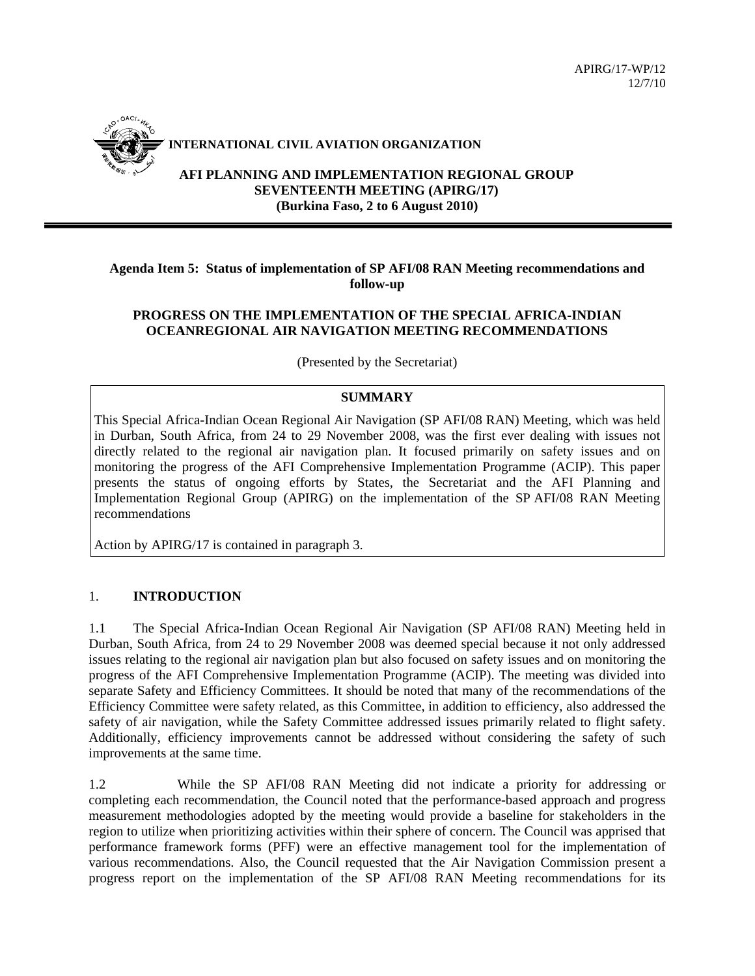

### **INTERNATIONAL CIVIL AVIATION ORGANIZATION**

**AFI PLANNING AND IMPLEMENTATION REGIONAL GROUP SEVENTEENTH MEETING (APIRG/17) (Burkina Faso, 2 to 6 August 2010)** 

# **Agenda Item 5: Status of implementation of SP AFI/08 RAN Meeting recommendations and follow-up**

## **PROGRESS ON THE IMPLEMENTATION OF THE SPECIAL AFRICA-INDIAN OCEANREGIONAL AIR NAVIGATION MEETING RECOMMENDATIONS**

(Presented by the Secretariat)

### **SUMMARY**

This Special Africa-Indian Ocean Regional Air Navigation (SP AFI/08 RAN) Meeting, which was held in Durban, South Africa, from 24 to 29 November 2008, was the first ever dealing with issues not directly related to the regional air navigation plan. It focused primarily on safety issues and on monitoring the progress of the AFI Comprehensive Implementation Programme (ACIP). This paper presents the status of ongoing efforts by States, the Secretariat and the AFI Planning and Implementation Regional Group (APIRG) on the implementation of the SP AFI/08 RAN Meeting recommendations

Action by APIRG/17 is contained in paragraph 3.

# 1. **INTRODUCTION**

1.1 The Special Africa-Indian Ocean Regional Air Navigation (SP AFI/08 RAN) Meeting held in Durban, South Africa, from 24 to 29 November 2008 was deemed special because it not only addressed issues relating to the regional air navigation plan but also focused on safety issues and on monitoring the progress of the AFI Comprehensive Implementation Programme (ACIP). The meeting was divided into separate Safety and Efficiency Committees. It should be noted that many of the recommendations of the Efficiency Committee were safety related, as this Committee, in addition to efficiency, also addressed the safety of air navigation, while the Safety Committee addressed issues primarily related to flight safety. Additionally, efficiency improvements cannot be addressed without considering the safety of such improvements at the same time.

1.2 While the SP AFI/08 RAN Meeting did not indicate a priority for addressing or completing each recommendation, the Council noted that the performance-based approach and progress measurement methodologies adopted by the meeting would provide a baseline for stakeholders in the region to utilize when prioritizing activities within their sphere of concern. The Council was apprised that performance framework forms (PFF) were an effective management tool for the implementation of various recommendations. Also, the Council requested that the Air Navigation Commission present a progress report on the implementation of the SP AFI/08 RAN Meeting recommendations for its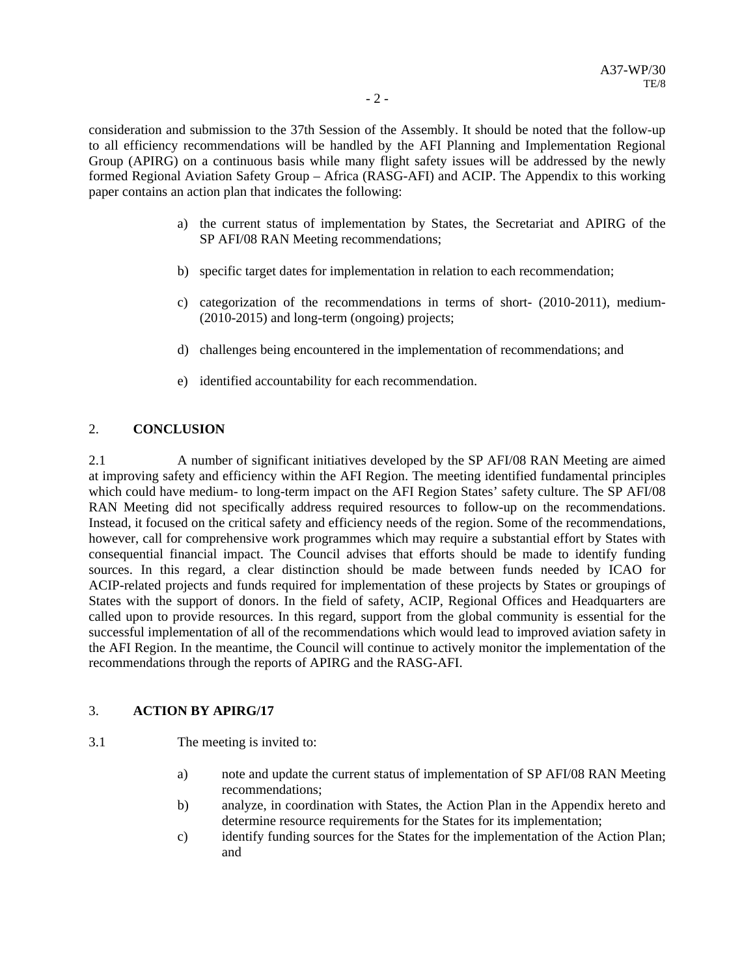consideration and submission to the 37th Session of the Assembly. It should be noted that the follow-up to all efficiency recommendations will be handled by the AFI Planning and Implementation Regional Group (APIRG) on a continuous basis while many flight safety issues will be addressed by the newly formed Regional Aviation Safety Group – Africa (RASG-AFI) and ACIP. The Appendix to this working paper contains an action plan that indicates the following:

- a) the current status of implementation by States, the Secretariat and APIRG of the SP AFI/08 RAN Meeting recommendations;
- b) specific target dates for implementation in relation to each recommendation;
- c) categorization of the recommendations in terms of short- (2010-2011), medium- (2010-2015) and long-term (ongoing) projects;
- d) challenges being encountered in the implementation of recommendations; and
- e) identified accountability for each recommendation.

# 2. **CONCLUSION**

2.1 A number of significant initiatives developed by the SP AFI/08 RAN Meeting are aimed at improving safety and efficiency within the AFI Region. The meeting identified fundamental principles which could have medium- to long-term impact on the AFI Region States' safety culture. The SP AFI/08 RAN Meeting did not specifically address required resources to follow-up on the recommendations. Instead, it focused on the critical safety and efficiency needs of the region. Some of the recommendations, however, call for comprehensive work programmes which may require a substantial effort by States with consequential financial impact. The Council advises that efforts should be made to identify funding sources. In this regard, a clear distinction should be made between funds needed by ICAO for ACIP-related projects and funds required for implementation of these projects by States or groupings of States with the support of donors. In the field of safety, ACIP, Regional Offices and Headquarters are called upon to provide resources. In this regard, support from the global community is essential for the successful implementation of all of the recommendations which would lead to improved aviation safety in the AFI Region. In the meantime, the Council will continue to actively monitor the implementation of the recommendations through the reports of APIRG and the RASG-AFI.

## 3. **ACTION BY APIRG/17**

3.1 The meeting is invited to:

- a) note and update the current status of implementation of SP AFI/08 RAN Meeting recommendations;
- b) analyze, in coordination with States, the Action Plan in the Appendix hereto and determine resource requirements for the States for its implementation;
- c) identify funding sources for the States for the implementation of the Action Plan; and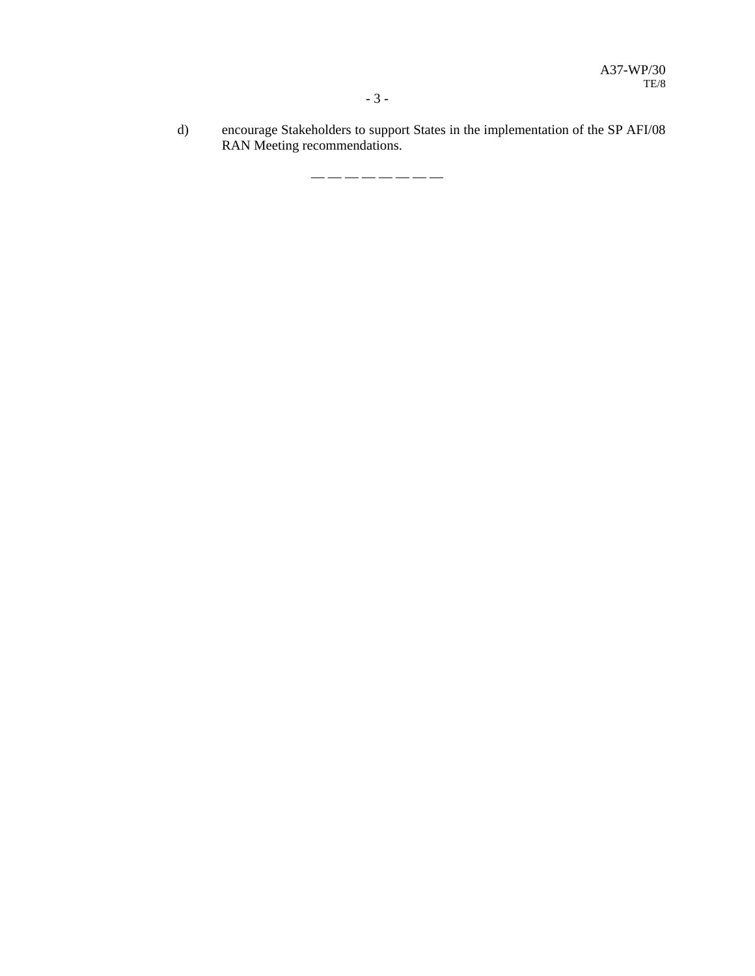d) encourage Stakeholders to support States in the implementation of the SP AFI/08 RAN Meeting recommendations.

— — — — — — — —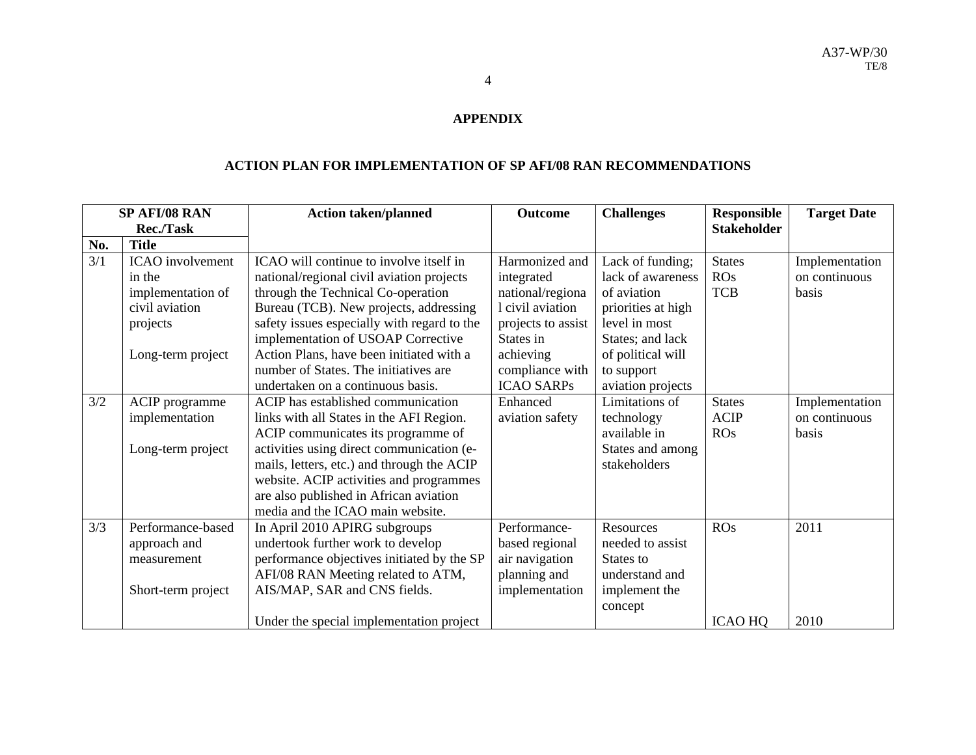#### **APPENDIX**

#### **ACTION PLAN FOR IMPLEMENTATION OF SP AFI/08 RAN RECOMMENDATIONS**

|     | SP AFI/08 RAN           | <b>Action taken/planned</b>                 | <b>Outcome</b>     | <b>Challenges</b>  | <b>Responsible</b> | <b>Target Date</b> |
|-----|-------------------------|---------------------------------------------|--------------------|--------------------|--------------------|--------------------|
|     | <b>Rec./Task</b>        |                                             |                    |                    | <b>Stakeholder</b> |                    |
| No. | <b>Title</b>            |                                             |                    |                    |                    |                    |
| 3/1 | <b>ICAO</b> involvement | ICAO will continue to involve itself in     | Harmonized and     | Lack of funding;   | <b>States</b>      | Implementation     |
|     | in the                  | national/regional civil aviation projects   | integrated         | lack of awareness  | ROS                | on continuous      |
|     | implementation of       | through the Technical Co-operation          | national/regiona   | of aviation        | <b>TCB</b>         | basis              |
|     | civil aviation          | Bureau (TCB). New projects, addressing      | l civil aviation   | priorities at high |                    |                    |
|     | projects                | safety issues especially with regard to the | projects to assist | level in most      |                    |                    |
|     |                         | implementation of USOAP Corrective          | States in          | States; and lack   |                    |                    |
|     | Long-term project       | Action Plans, have been initiated with a    | achieving          | of political will  |                    |                    |
|     |                         | number of States. The initiatives are       | compliance with    | to support         |                    |                    |
|     |                         | undertaken on a continuous basis.           | <b>ICAO SARPs</b>  | aviation projects  |                    |                    |
| 3/2 | ACIP programme          | ACIP has established communication          | Enhanced           | Limitations of     | <b>States</b>      | Implementation     |
|     | implementation          | links with all States in the AFI Region.    | aviation safety    | technology         | <b>ACIP</b>        | on continuous      |
|     |                         | ACIP communicates its programme of          |                    | available in       | ROS                | basis              |
|     | Long-term project       | activities using direct communication (e-   |                    | States and among   |                    |                    |
|     |                         | mails, letters, etc.) and through the ACIP  |                    | stakeholders       |                    |                    |
|     |                         | website. ACIP activities and programmes     |                    |                    |                    |                    |
|     |                         | are also published in African aviation      |                    |                    |                    |                    |
|     |                         | media and the ICAO main website.            |                    |                    |                    |                    |
| 3/3 | Performance-based       | In April 2010 APIRG subgroups               | Performance-       | Resources          | <b>ROs</b>         | 2011               |
|     | approach and            | undertook further work to develop           | based regional     | needed to assist   |                    |                    |
|     | measurement             | performance objectives initiated by the SP  | air navigation     | States to          |                    |                    |
|     |                         | AFI/08 RAN Meeting related to ATM,          | planning and       | understand and     |                    |                    |
|     | Short-term project      | AIS/MAP, SAR and CNS fields.                | implementation     | implement the      |                    |                    |
|     |                         |                                             |                    | concept            |                    |                    |
|     |                         | Under the special implementation project    |                    |                    | <b>ICAO HQ</b>     | 2010               |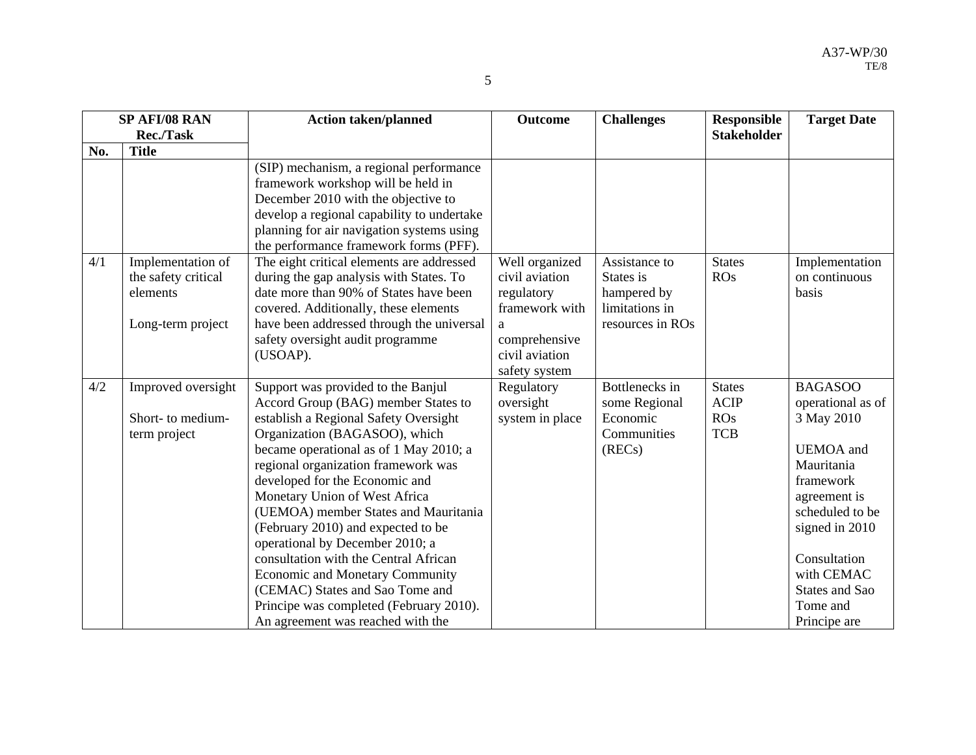| -           |
|-------------|
| ×           |
| ×<br>×<br>٠ |

| <b>SP AFI/08 RAN</b> |                                                                           | <b>Action taken/planned</b>                                                                                                                                                                                                                                                                                                                                                                                                                                                                                                                                                                                                    | <b>Outcome</b>                                                                                                            | <b>Challenges</b>                                                               | <b>Responsible</b>                                | <b>Target Date</b>                                                                                                                                                                                                                |
|----------------------|---------------------------------------------------------------------------|--------------------------------------------------------------------------------------------------------------------------------------------------------------------------------------------------------------------------------------------------------------------------------------------------------------------------------------------------------------------------------------------------------------------------------------------------------------------------------------------------------------------------------------------------------------------------------------------------------------------------------|---------------------------------------------------------------------------------------------------------------------------|---------------------------------------------------------------------------------|---------------------------------------------------|-----------------------------------------------------------------------------------------------------------------------------------------------------------------------------------------------------------------------------------|
|                      | Rec./Task                                                                 |                                                                                                                                                                                                                                                                                                                                                                                                                                                                                                                                                                                                                                |                                                                                                                           |                                                                                 | <b>Stakeholder</b>                                |                                                                                                                                                                                                                                   |
| No.                  | <b>Title</b>                                                              |                                                                                                                                                                                                                                                                                                                                                                                                                                                                                                                                                                                                                                |                                                                                                                           |                                                                                 |                                                   |                                                                                                                                                                                                                                   |
|                      |                                                                           | (SIP) mechanism, a regional performance<br>framework workshop will be held in<br>December 2010 with the objective to<br>develop a regional capability to undertake<br>planning for air navigation systems using<br>the performance framework forms (PFF).                                                                                                                                                                                                                                                                                                                                                                      |                                                                                                                           |                                                                                 |                                                   |                                                                                                                                                                                                                                   |
| 4/1                  | Implementation of<br>the safety critical<br>elements<br>Long-term project | The eight critical elements are addressed<br>during the gap analysis with States. To<br>date more than 90% of States have been<br>covered. Additionally, these elements<br>have been addressed through the universal<br>safety oversight audit programme<br>(USOAP).                                                                                                                                                                                                                                                                                                                                                           | Well organized<br>civil aviation<br>regulatory<br>framework with<br>a<br>comprehensive<br>civil aviation<br>safety system | Assistance to<br>States is<br>hampered by<br>limitations in<br>resources in ROs | <b>States</b><br><b>ROs</b>                       | Implementation<br>on continuous<br>basis                                                                                                                                                                                          |
| 4/2                  | Improved oversight<br>Short- to medium-<br>term project                   | Support was provided to the Banjul<br>Accord Group (BAG) member States to<br>establish a Regional Safety Oversight<br>Organization (BAGASOO), which<br>became operational as of 1 May 2010; a<br>regional organization framework was<br>developed for the Economic and<br>Monetary Union of West Africa<br>(UEMOA) member States and Mauritania<br>(February 2010) and expected to be<br>operational by December 2010; a<br>consultation with the Central African<br><b>Economic and Monetary Community</b><br>(CEMAC) States and Sao Tome and<br>Principe was completed (February 2010).<br>An agreement was reached with the | Regulatory<br>oversight<br>system in place                                                                                | Bottlenecks in<br>some Regional<br>Economic<br>Communities<br>(RECs)            | <b>States</b><br><b>ACIP</b><br>ROS<br><b>TCB</b> | <b>BAGASOO</b><br>operational as of<br>3 May 2010<br><b>UEMOA</b> and<br>Mauritania<br>framework<br>agreement is<br>scheduled to be<br>signed in 2010<br>Consultation<br>with CEMAC<br>States and Sao<br>Tome and<br>Principe are |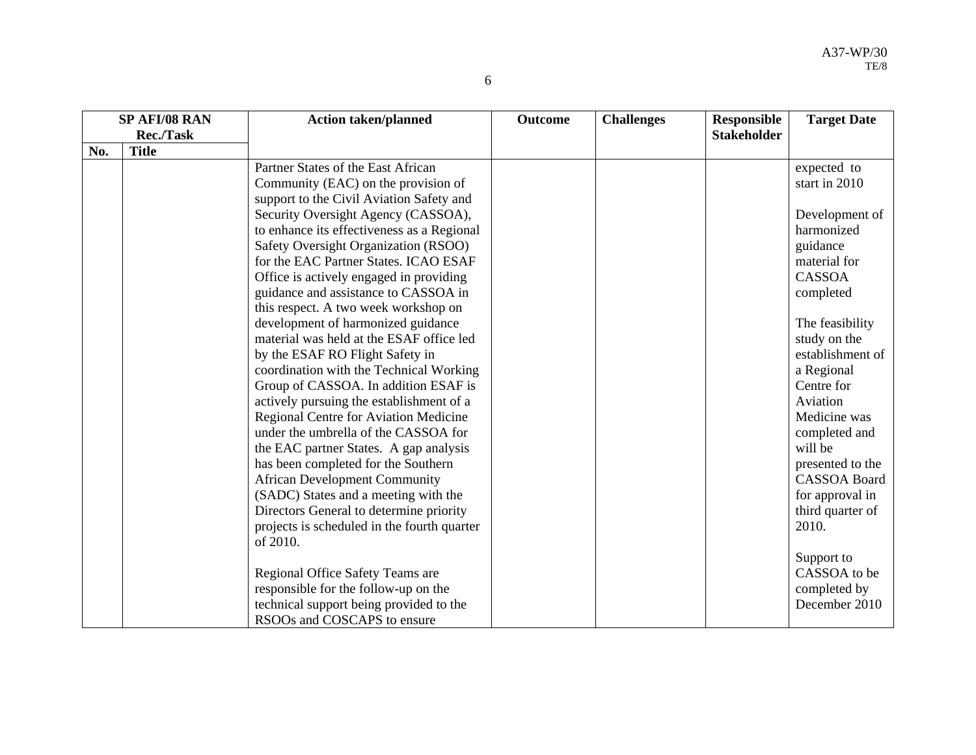| ۰,<br>۰.<br>۰<br>r |  |
|--------------------|--|
| i<br>i             |  |

| SP AFI/08 RAN |                  | <b>Action taken/planned</b>                 | <b>Outcome</b> | <b>Challenges</b> | <b>Responsible</b> | <b>Target Date</b>  |
|---------------|------------------|---------------------------------------------|----------------|-------------------|--------------------|---------------------|
|               | <b>Rec./Task</b> |                                             |                |                   | <b>Stakeholder</b> |                     |
| No.           | <b>Title</b>     |                                             |                |                   |                    |                     |
|               |                  | Partner States of the East African          |                |                   |                    | expected to         |
|               |                  | Community (EAC) on the provision of         |                |                   |                    | start in 2010       |
|               |                  | support to the Civil Aviation Safety and    |                |                   |                    |                     |
|               |                  | Security Oversight Agency (CASSOA),         |                |                   |                    | Development of      |
|               |                  | to enhance its effectiveness as a Regional  |                |                   |                    | harmonized          |
|               |                  | Safety Oversight Organization (RSOO)        |                |                   |                    | guidance            |
|               |                  | for the EAC Partner States. ICAO ESAF       |                |                   |                    | material for        |
|               |                  | Office is actively engaged in providing     |                |                   |                    | <b>CASSOA</b>       |
|               |                  | guidance and assistance to CASSOA in        |                |                   |                    | completed           |
|               |                  | this respect. A two week workshop on        |                |                   |                    |                     |
|               |                  | development of harmonized guidance          |                |                   |                    | The feasibility     |
|               |                  | material was held at the ESAF office led    |                |                   |                    | study on the        |
|               |                  | by the ESAF RO Flight Safety in             |                |                   |                    | establishment of    |
|               |                  | coordination with the Technical Working     |                |                   |                    | a Regional          |
|               |                  | Group of CASSOA. In addition ESAF is        |                |                   |                    | Centre for          |
|               |                  | actively pursuing the establishment of a    |                |                   |                    | Aviation            |
|               |                  | Regional Centre for Aviation Medicine       |                |                   |                    | Medicine was        |
|               |                  | under the umbrella of the CASSOA for        |                |                   |                    | completed and       |
|               |                  | the EAC partner States. A gap analysis      |                |                   |                    | will be             |
|               |                  | has been completed for the Southern         |                |                   |                    | presented to the    |
|               |                  | <b>African Development Community</b>        |                |                   |                    | <b>CASSOA Board</b> |
|               |                  | (SADC) States and a meeting with the        |                |                   |                    | for approval in     |
|               |                  | Directors General to determine priority     |                |                   |                    | third quarter of    |
|               |                  | projects is scheduled in the fourth quarter |                |                   |                    | 2010.               |
|               |                  | of 2010.                                    |                |                   |                    |                     |
|               |                  |                                             |                |                   |                    | Support to          |
|               |                  | Regional Office Safety Teams are            |                |                   |                    | CASSOA to be        |
|               |                  | responsible for the follow-up on the        |                |                   |                    | completed by        |
|               |                  | technical support being provided to the     |                |                   |                    | December 2010       |
|               |                  | RSOOs and COSCAPS to ensure                 |                |                   |                    |                     |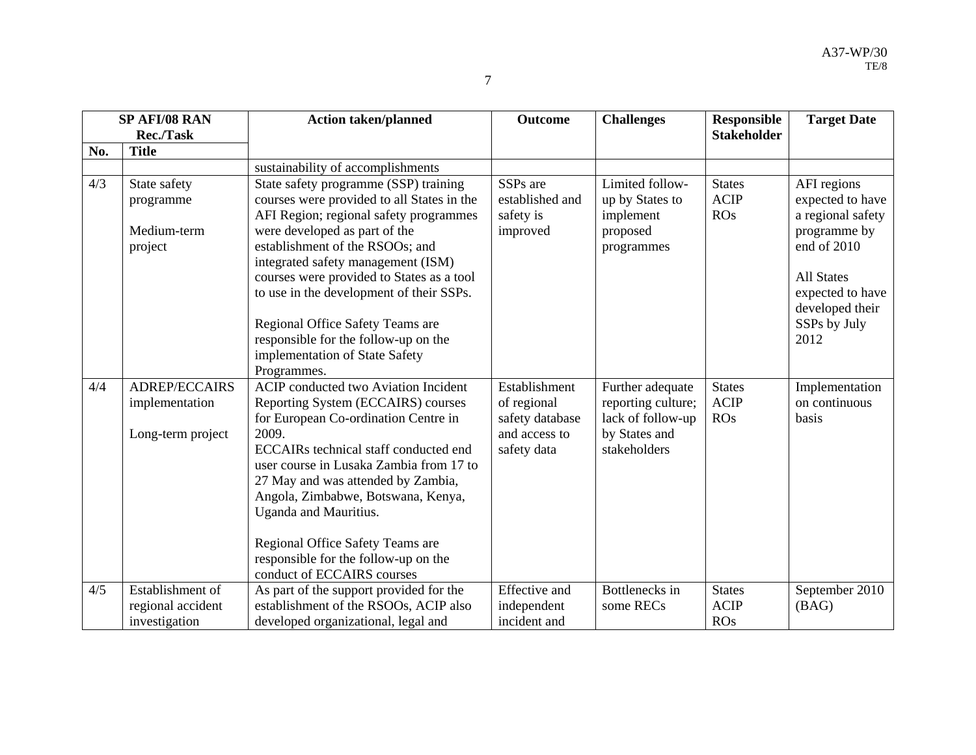|     | SP AFI/08 RAN                                               | <b>Action taken/planned</b>                                                                                                                                                                                                                                                                                                                                                                                                                                   | <b>Outcome</b>                                                                  | <b>Challenges</b>                                                                            | <b>Responsible</b>                         | <b>Target Date</b>                                                                                                                                                      |
|-----|-------------------------------------------------------------|---------------------------------------------------------------------------------------------------------------------------------------------------------------------------------------------------------------------------------------------------------------------------------------------------------------------------------------------------------------------------------------------------------------------------------------------------------------|---------------------------------------------------------------------------------|----------------------------------------------------------------------------------------------|--------------------------------------------|-------------------------------------------------------------------------------------------------------------------------------------------------------------------------|
|     | Rec./Task                                                   |                                                                                                                                                                                                                                                                                                                                                                                                                                                               |                                                                                 |                                                                                              | <b>Stakeholder</b>                         |                                                                                                                                                                         |
| No. | <b>Title</b>                                                |                                                                                                                                                                                                                                                                                                                                                                                                                                                               |                                                                                 |                                                                                              |                                            |                                                                                                                                                                         |
|     |                                                             | sustainability of accomplishments                                                                                                                                                                                                                                                                                                                                                                                                                             |                                                                                 |                                                                                              |                                            |                                                                                                                                                                         |
| 4/3 | State safety<br>programme<br>Medium-term<br>project         | State safety programme (SSP) training<br>courses were provided to all States in the<br>AFI Region; regional safety programmes<br>were developed as part of the<br>establishment of the RSOOs; and<br>integrated safety management (ISM)<br>courses were provided to States as a tool<br>to use in the development of their SSPs.<br>Regional Office Safety Teams are<br>responsible for the follow-up on the<br>implementation of State Safety<br>Programmes. | SSP <sub>s</sub> are<br>established and<br>safety is<br>improved                | Limited follow-<br>up by States to<br>implement<br>proposed<br>programmes                    | <b>States</b><br><b>ACIP</b><br><b>ROs</b> | AFI regions<br>expected to have<br>a regional safety<br>programme by<br>end of 2010<br><b>All States</b><br>expected to have<br>developed their<br>SSPs by July<br>2012 |
| 4/4 | <b>ADREP/ECCAIRS</b><br>implementation<br>Long-term project | <b>ACIP</b> conducted two Aviation Incident<br>Reporting System (ECCAIRS) courses<br>for European Co-ordination Centre in<br>2009.<br>ECCAIRs technical staff conducted end<br>user course in Lusaka Zambia from 17 to<br>27 May and was attended by Zambia,<br>Angola, Zimbabwe, Botswana, Kenya,<br>Uganda and Mauritius.<br>Regional Office Safety Teams are<br>responsible for the follow-up on the<br>conduct of ECCAIRS courses                         | Establishment<br>of regional<br>safety database<br>and access to<br>safety data | Further adequate<br>reporting culture;<br>lack of follow-up<br>by States and<br>stakeholders | <b>States</b><br><b>ACIP</b><br><b>ROs</b> | Implementation<br>on continuous<br>basis                                                                                                                                |
| 4/5 | Establishment of<br>regional accident<br>investigation      | As part of the support provided for the<br>establishment of the RSOOs, ACIP also<br>developed organizational, legal and                                                                                                                                                                                                                                                                                                                                       | <b>Effective</b> and<br>independent<br>incident and                             | Bottlenecks in<br>some RECs                                                                  | <b>States</b><br><b>ACIP</b><br><b>ROs</b> | September 2010<br>(BAG)                                                                                                                                                 |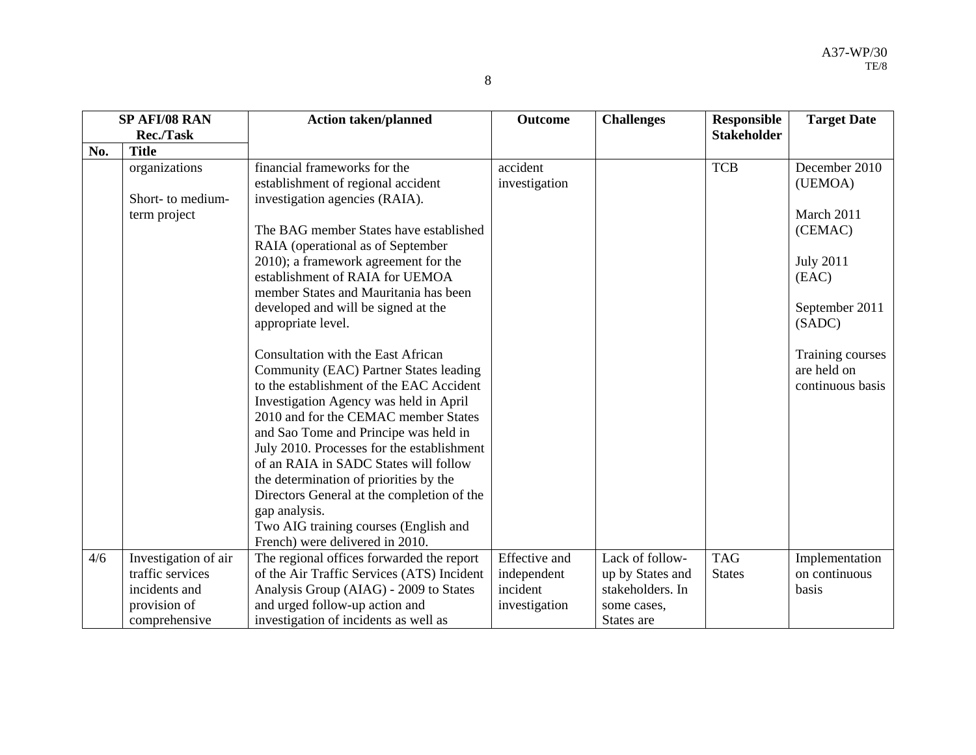|     | SP AFI/08 RAN<br><b>Rec./Task</b> | <b>Action taken/planned</b>                                                                                                     | <b>Outcome</b>            | <b>Challenges</b> | <b>Responsible</b><br><b>Stakeholder</b> | <b>Target Date</b>                                  |
|-----|-----------------------------------|---------------------------------------------------------------------------------------------------------------------------------|---------------------------|-------------------|------------------------------------------|-----------------------------------------------------|
| No. | <b>Title</b>                      |                                                                                                                                 |                           |                   |                                          |                                                     |
|     | organizations                     | financial frameworks for the<br>establishment of regional accident                                                              | accident<br>investigation |                   | <b>TCB</b>                               | December 2010<br>(UEMOA)                            |
|     | Short- to medium-<br>term project | investigation agencies (RAIA).                                                                                                  |                           |                   |                                          | March 2011                                          |
|     |                                   | The BAG member States have established<br>RAIA (operational as of September                                                     |                           |                   |                                          | (CEMAC)                                             |
|     |                                   | 2010); a framework agreement for the<br>establishment of RAIA for UEMOA                                                         |                           |                   |                                          | <b>July 2011</b><br>(EAC)                           |
|     |                                   | member States and Mauritania has been<br>developed and will be signed at the<br>appropriate level.                              |                           |                   |                                          | September 2011<br>(SADC)                            |
|     |                                   | <b>Consultation with the East African</b><br>Community (EAC) Partner States leading<br>to the establishment of the EAC Accident |                           |                   |                                          | Training courses<br>are held on<br>continuous basis |
|     |                                   | Investigation Agency was held in April<br>2010 and for the CEMAC member States<br>and Sao Tome and Principe was held in         |                           |                   |                                          |                                                     |
|     |                                   | July 2010. Processes for the establishment<br>of an RAIA in SADC States will follow                                             |                           |                   |                                          |                                                     |
|     |                                   | the determination of priorities by the<br>Directors General at the completion of the                                            |                           |                   |                                          |                                                     |
|     |                                   | gap analysis.<br>Two AIG training courses (English and                                                                          |                           |                   |                                          |                                                     |
|     |                                   | French) were delivered in 2010.                                                                                                 |                           |                   |                                          |                                                     |
| 4/6 | Investigation of air              | The regional offices forwarded the report                                                                                       | <b>Effective</b> and      | Lack of follow-   | <b>TAG</b>                               | Implementation                                      |
|     | traffic services                  | of the Air Traffic Services (ATS) Incident                                                                                      | independent               | up by States and  | <b>States</b>                            | on continuous                                       |
|     | incidents and                     | Analysis Group (AIAG) - 2009 to States                                                                                          | incident                  | stakeholders. In  |                                          | basis                                               |
|     | provision of                      | and urged follow-up action and                                                                                                  | investigation             | some cases,       |                                          |                                                     |
|     | comprehensive                     | investigation of incidents as well as                                                                                           |                           | States are        |                                          |                                                     |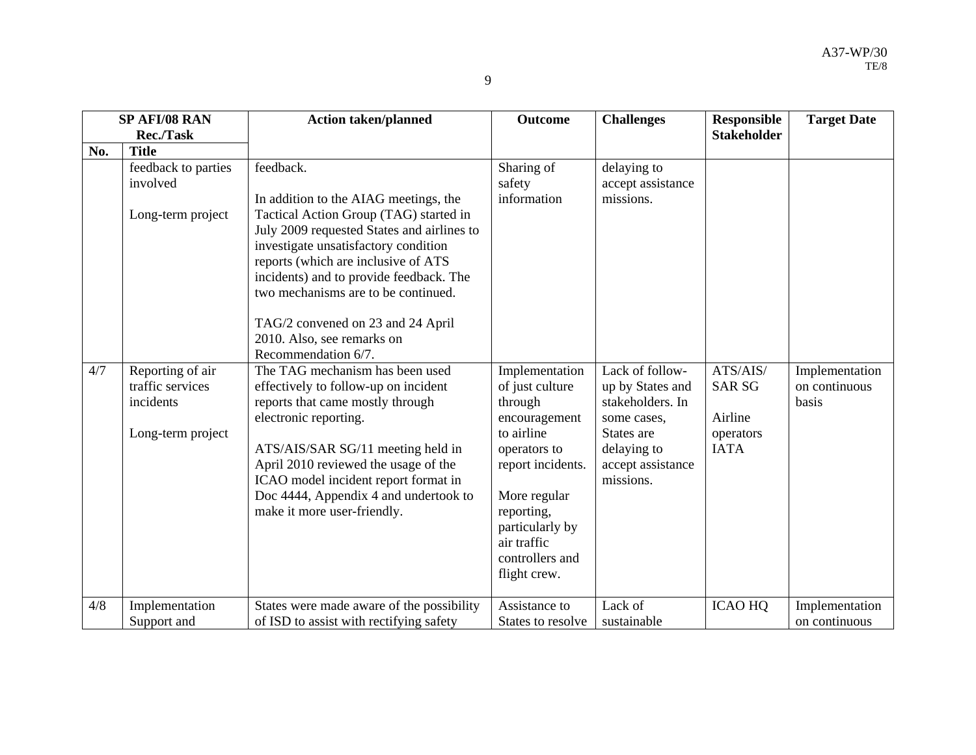|     | SP AFI/08 RAN                                                          | <b>Action taken/planned</b>                                                                                                                                                                                                                                                                                                                                                                           | <b>Outcome</b>                                                                                                                                                                                                      | <b>Challenges</b>                                                                                                                     | <b>Responsible</b>                                               | <b>Target Date</b>                       |
|-----|------------------------------------------------------------------------|-------------------------------------------------------------------------------------------------------------------------------------------------------------------------------------------------------------------------------------------------------------------------------------------------------------------------------------------------------------------------------------------------------|---------------------------------------------------------------------------------------------------------------------------------------------------------------------------------------------------------------------|---------------------------------------------------------------------------------------------------------------------------------------|------------------------------------------------------------------|------------------------------------------|
|     | <b>Rec./Task</b>                                                       |                                                                                                                                                                                                                                                                                                                                                                                                       |                                                                                                                                                                                                                     |                                                                                                                                       | <b>Stakeholder</b>                                               |                                          |
| No. | <b>Title</b>                                                           |                                                                                                                                                                                                                                                                                                                                                                                                       |                                                                                                                                                                                                                     |                                                                                                                                       |                                                                  |                                          |
|     | feedback to parties<br>involved<br>Long-term project                   | feedback.<br>In addition to the AIAG meetings, the<br>Tactical Action Group (TAG) started in<br>July 2009 requested States and airlines to<br>investigate unsatisfactory condition<br>reports (which are inclusive of ATS<br>incidents) and to provide feedback. The<br>two mechanisms are to be continued.<br>TAG/2 convened on 23 and 24 April<br>2010. Also, see remarks on<br>Recommendation 6/7. | Sharing of<br>safety<br>information                                                                                                                                                                                 | delaying to<br>accept assistance<br>missions.                                                                                         |                                                                  |                                          |
| 4/7 | Reporting of air<br>traffic services<br>incidents<br>Long-term project | The TAG mechanism has been used<br>effectively to follow-up on incident<br>reports that came mostly through<br>electronic reporting.<br>ATS/AIS/SAR SG/11 meeting held in<br>April 2010 reviewed the usage of the<br>ICAO model incident report format in<br>Doc 4444, Appendix 4 and undertook to<br>make it more user-friendly.                                                                     | Implementation<br>of just culture<br>through<br>encouragement<br>to airline<br>operators to<br>report incidents.<br>More regular<br>reporting,<br>particularly by<br>air traffic<br>controllers and<br>flight crew. | Lack of follow-<br>up by States and<br>stakeholders. In<br>some cases,<br>States are<br>delaying to<br>accept assistance<br>missions. | ATS/AIS/<br><b>SAR SG</b><br>Airline<br>operators<br><b>IATA</b> | Implementation<br>on continuous<br>basis |
| 4/8 | Implementation<br>Support and                                          | States were made aware of the possibility<br>of ISD to assist with rectifying safety                                                                                                                                                                                                                                                                                                                  | Assistance to<br>States to resolve                                                                                                                                                                                  | Lack of<br>sustainable                                                                                                                | <b>ICAO HQ</b>                                                   | Implementation<br>on continuous          |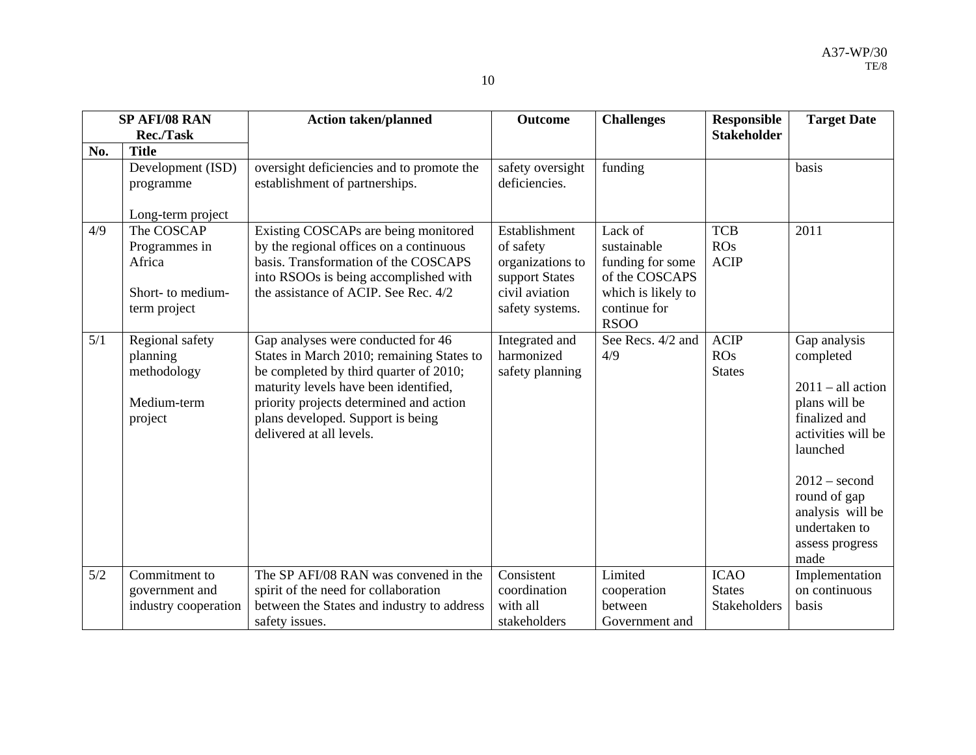|     | <b>SP AFI/08 RAN</b><br><b>Rec./Task</b>                                   | <b>Action taken/planned</b>                                                                                                                                                                                                                                                    | <b>Outcome</b>                                                                                        | <b>Challenges</b>                                                                                                 | <b>Responsible</b><br><b>Stakeholder</b>     | <b>Target Date</b>                                                                                                                                                                                                      |
|-----|----------------------------------------------------------------------------|--------------------------------------------------------------------------------------------------------------------------------------------------------------------------------------------------------------------------------------------------------------------------------|-------------------------------------------------------------------------------------------------------|-------------------------------------------------------------------------------------------------------------------|----------------------------------------------|-------------------------------------------------------------------------------------------------------------------------------------------------------------------------------------------------------------------------|
| No. | <b>Title</b>                                                               |                                                                                                                                                                                                                                                                                |                                                                                                       |                                                                                                                   |                                              |                                                                                                                                                                                                                         |
|     | Development (ISD)<br>programme                                             | oversight deficiencies and to promote the<br>establishment of partnerships.                                                                                                                                                                                                    | safety oversight<br>deficiencies.                                                                     | funding                                                                                                           |                                              | basis                                                                                                                                                                                                                   |
|     | Long-term project                                                          |                                                                                                                                                                                                                                                                                |                                                                                                       |                                                                                                                   |                                              |                                                                                                                                                                                                                         |
| 4/9 | The COSCAP<br>Programmes in<br>Africa<br>Short- to medium-<br>term project | Existing COSCAPs are being monitored<br>by the regional offices on a continuous<br>basis. Transformation of the COSCAPS<br>into RSOOs is being accomplished with<br>the assistance of ACIP. See Rec. 4/2                                                                       | Establishment<br>of safety<br>organizations to<br>support States<br>civil aviation<br>safety systems. | Lack of<br>sustainable<br>funding for some<br>of the COSCAPS<br>which is likely to<br>continue for<br><b>RSOO</b> | <b>TCB</b><br>ROS<br><b>ACIP</b>             | 2011                                                                                                                                                                                                                    |
| 5/1 | Regional safety<br>planning<br>methodology<br>Medium-term<br>project       | Gap analyses were conducted for 46<br>States in March 2010; remaining States to<br>be completed by third quarter of 2010;<br>maturity levels have been identified,<br>priority projects determined and action<br>plans developed. Support is being<br>delivered at all levels. | Integrated and<br>harmonized<br>safety planning                                                       | See Recs. 4/2 and<br>4/9                                                                                          | <b>ACIP</b><br>ROS<br><b>States</b>          | Gap analysis<br>completed<br>$2011 - all action$<br>plans will be<br>finalized and<br>activities will be<br>launched<br>$2012 -$ second<br>round of gap<br>analysis will be<br>undertaken to<br>assess progress<br>made |
| 5/2 | Commitment to<br>government and<br>industry cooperation                    | The SP AFI/08 RAN was convened in the<br>spirit of the need for collaboration<br>between the States and industry to address<br>safety issues.                                                                                                                                  | Consistent<br>coordination<br>with all<br>stakeholders                                                | Limited<br>cooperation<br>between<br>Government and                                                               | <b>ICAO</b><br><b>States</b><br>Stakeholders | Implementation<br>on continuous<br>basis                                                                                                                                                                                |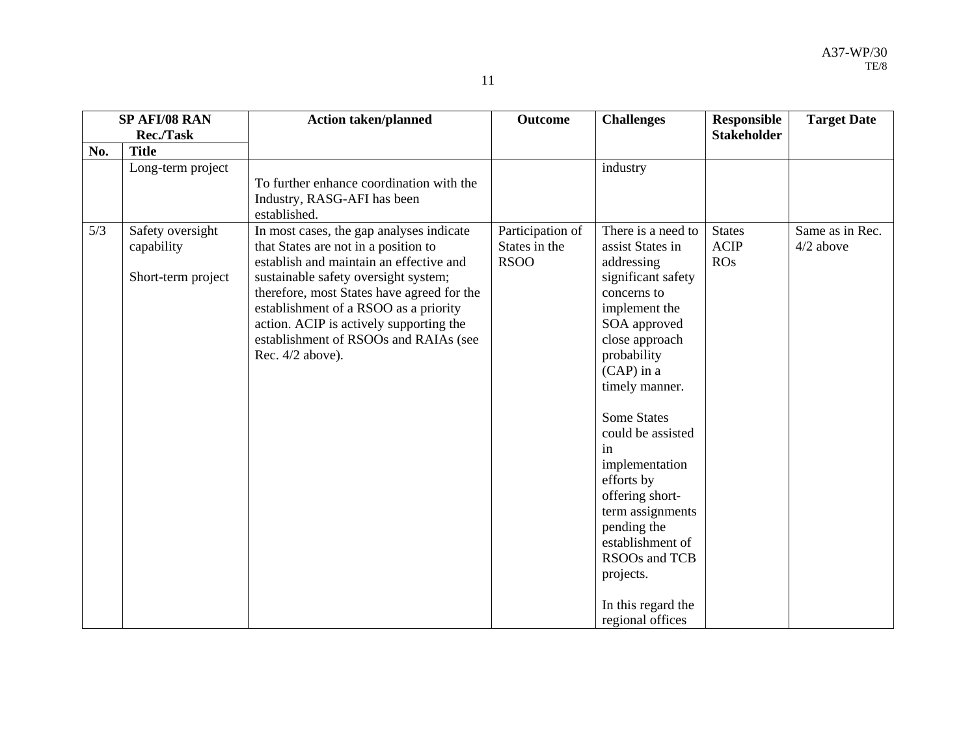| н |  |
|---|--|
|   |  |

| SP AFI/08 RAN |                                                      | <b>Action taken/planned</b>                                                                                                                                                                                                                                                                                                                                        | <b>Outcome</b>                                   | <b>Challenges</b>                                                                                                                                                                                                                                                                                                                                                                                                                | <b>Responsible</b>                  | <b>Target Date</b>           |
|---------------|------------------------------------------------------|--------------------------------------------------------------------------------------------------------------------------------------------------------------------------------------------------------------------------------------------------------------------------------------------------------------------------------------------------------------------|--------------------------------------------------|----------------------------------------------------------------------------------------------------------------------------------------------------------------------------------------------------------------------------------------------------------------------------------------------------------------------------------------------------------------------------------------------------------------------------------|-------------------------------------|------------------------------|
|               | Rec./Task                                            |                                                                                                                                                                                                                                                                                                                                                                    |                                                  |                                                                                                                                                                                                                                                                                                                                                                                                                                  | <b>Stakeholder</b>                  |                              |
| No.           | <b>Title</b>                                         |                                                                                                                                                                                                                                                                                                                                                                    |                                                  |                                                                                                                                                                                                                                                                                                                                                                                                                                  |                                     |                              |
|               | Long-term project                                    | To further enhance coordination with the<br>Industry, RASG-AFI has been<br>established.                                                                                                                                                                                                                                                                            |                                                  | industry                                                                                                                                                                                                                                                                                                                                                                                                                         |                                     |                              |
| 5/3           | Safety oversight<br>capability<br>Short-term project | In most cases, the gap analyses indicate<br>that States are not in a position to<br>establish and maintain an effective and<br>sustainable safety oversight system;<br>therefore, most States have agreed for the<br>establishment of a RSOO as a priority<br>action. ACIP is actively supporting the<br>establishment of RSOOs and RAIAs (see<br>Rec. 4/2 above). | Participation of<br>States in the<br><b>RSOO</b> | There is a need to<br>assist States in<br>addressing<br>significant safety<br>concerns to<br>implement the<br>SOA approved<br>close approach<br>probability<br>$(CAP)$ in a<br>timely manner.<br><b>Some States</b><br>could be assisted<br>in<br>implementation<br>efforts by<br>offering short-<br>term assignments<br>pending the<br>establishment of<br>RSOOs and TCB<br>projects.<br>In this regard the<br>regional offices | <b>States</b><br><b>ACIP</b><br>ROS | Same as in Rec.<br>4/2 above |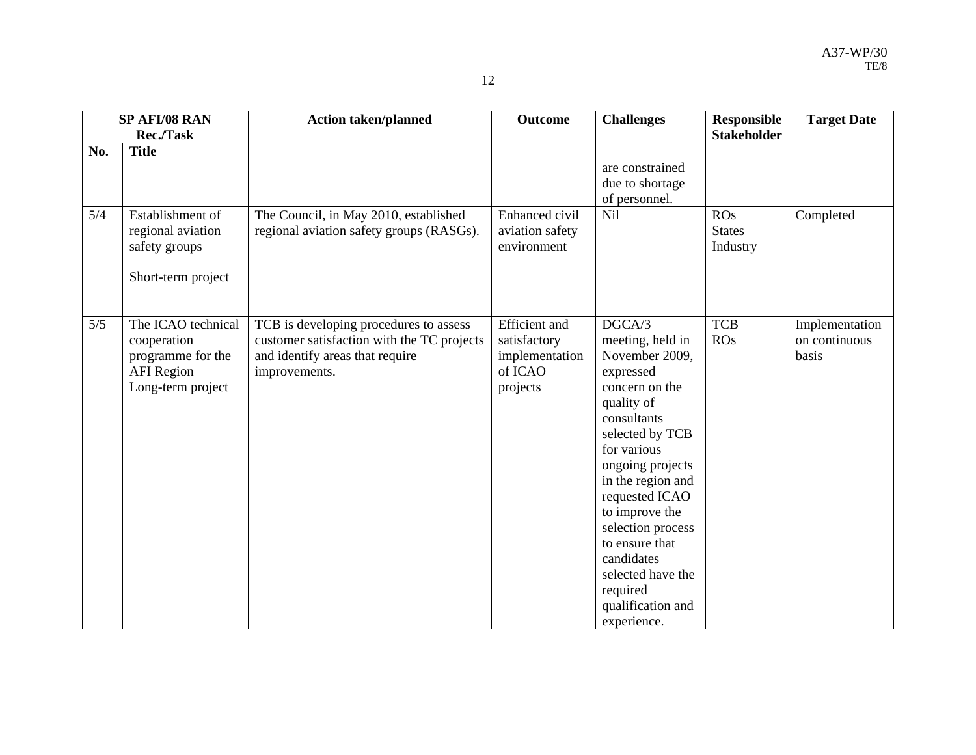| ۰ |  |
|---|--|
|   |  |

|       | SP AFI/08 RAN                                                                                    | <b>Action taken/planned</b>                                                                                                              | <b>Outcome</b>                                                                | <b>Challenges</b>                                                                                                                                                                                                                                                                                                                                 | <b>Responsible</b>               | <b>Target Date</b>                       |
|-------|--------------------------------------------------------------------------------------------------|------------------------------------------------------------------------------------------------------------------------------------------|-------------------------------------------------------------------------------|---------------------------------------------------------------------------------------------------------------------------------------------------------------------------------------------------------------------------------------------------------------------------------------------------------------------------------------------------|----------------------------------|------------------------------------------|
|       | <b>Rec./Task</b>                                                                                 |                                                                                                                                          |                                                                               |                                                                                                                                                                                                                                                                                                                                                   | <b>Stakeholder</b>               |                                          |
| No.   | <b>Title</b>                                                                                     |                                                                                                                                          |                                                                               |                                                                                                                                                                                                                                                                                                                                                   |                                  |                                          |
|       |                                                                                                  |                                                                                                                                          |                                                                               | are constrained<br>due to shortage<br>of personnel.                                                                                                                                                                                                                                                                                               |                                  |                                          |
| 5/4   | Establishment of<br>regional aviation<br>safety groups<br>Short-term project                     | The Council, in May 2010, established<br>regional aviation safety groups (RASGs).                                                        | Enhanced civil<br>aviation safety<br>environment                              | <b>Nil</b>                                                                                                                                                                                                                                                                                                                                        | ROS<br><b>States</b><br>Industry | Completed                                |
| $5/5$ | The ICAO technical<br>cooperation<br>programme for the<br><b>AFI</b> Region<br>Long-term project | TCB is developing procedures to assess<br>customer satisfaction with the TC projects<br>and identify areas that require<br>improvements. | <b>Efficient</b> and<br>satisfactory<br>implementation<br>of ICAO<br>projects | DGCA/3<br>meeting, held in<br>November 2009,<br>expressed<br>concern on the<br>quality of<br>consultants<br>selected by TCB<br>for various<br>ongoing projects<br>in the region and<br>requested ICAO<br>to improve the<br>selection process<br>to ensure that<br>candidates<br>selected have the<br>required<br>qualification and<br>experience. | <b>TCB</b><br><b>ROs</b>         | Implementation<br>on continuous<br>basis |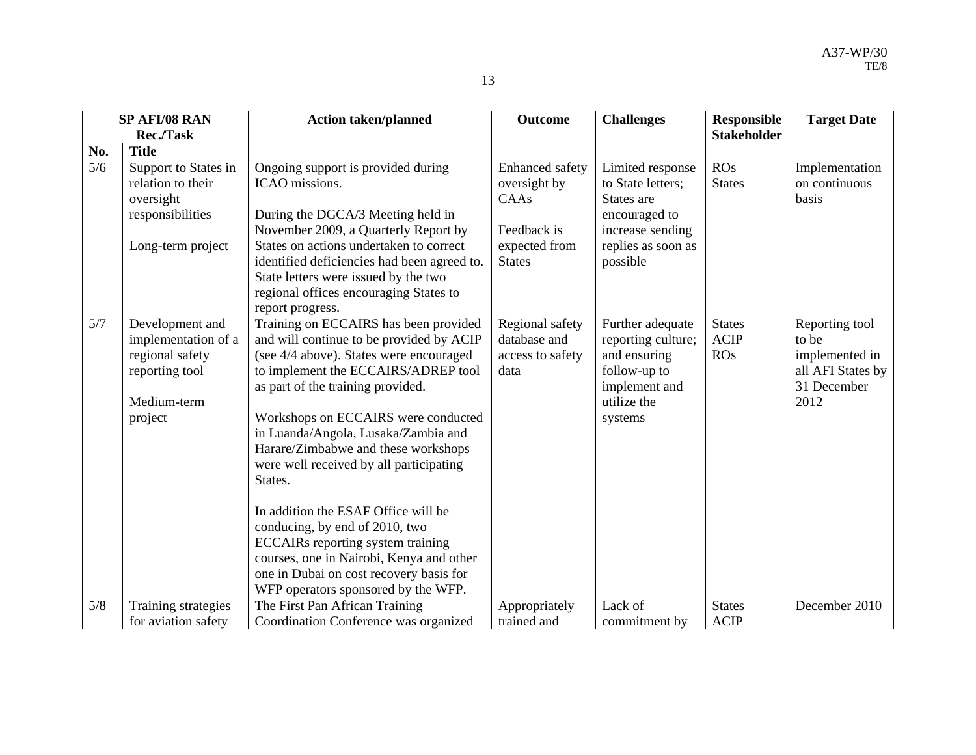|     | SP AFI/08 RAN                                                                                         | <b>Action taken/planned</b>                                                                                                                                                                                                                                                                                                                                                         | <b>Outcome</b>                                              | <b>Challenges</b>                                                                                                 | <b>Responsible</b>                         | <b>Target Date</b>                                                                    |
|-----|-------------------------------------------------------------------------------------------------------|-------------------------------------------------------------------------------------------------------------------------------------------------------------------------------------------------------------------------------------------------------------------------------------------------------------------------------------------------------------------------------------|-------------------------------------------------------------|-------------------------------------------------------------------------------------------------------------------|--------------------------------------------|---------------------------------------------------------------------------------------|
|     | Rec./Task                                                                                             |                                                                                                                                                                                                                                                                                                                                                                                     |                                                             |                                                                                                                   | <b>Stakeholder</b>                         |                                                                                       |
| No. | <b>Title</b>                                                                                          |                                                                                                                                                                                                                                                                                                                                                                                     |                                                             |                                                                                                                   |                                            |                                                                                       |
| 5/6 | Support to States in<br>relation to their<br>oversight                                                | Ongoing support is provided during<br>ICAO missions.                                                                                                                                                                                                                                                                                                                                | Enhanced safety<br>oversight by<br>CAAs                     | Limited response<br>to State letters;<br>States are                                                               | ROS<br><b>States</b>                       | Implementation<br>on continuous<br>basis                                              |
|     | responsibilities                                                                                      | During the DGCA/3 Meeting held in<br>November 2009, a Quarterly Report by                                                                                                                                                                                                                                                                                                           | Feedback is                                                 | encouraged to<br>increase sending                                                                                 |                                            |                                                                                       |
|     | Long-term project                                                                                     | States on actions undertaken to correct<br>identified deficiencies had been agreed to.<br>State letters were issued by the two<br>regional offices encouraging States to<br>report progress.                                                                                                                                                                                        | expected from<br><b>States</b>                              | replies as soon as<br>possible                                                                                    |                                            |                                                                                       |
| 5/7 | Development and<br>implementation of a<br>regional safety<br>reporting tool<br>Medium-term<br>project | Training on ECCAIRS has been provided<br>and will continue to be provided by ACIP<br>(see 4/4 above). States were encouraged<br>to implement the ECCAIRS/ADREP tool<br>as part of the training provided.<br>Workshops on ECCAIRS were conducted<br>in Luanda/Angola, Lusaka/Zambia and<br>Harare/Zimbabwe and these workshops<br>were well received by all participating<br>States. | Regional safety<br>database and<br>access to safety<br>data | Further adequate<br>reporting culture;<br>and ensuring<br>follow-up to<br>implement and<br>utilize the<br>systems | <b>States</b><br><b>ACIP</b><br><b>ROs</b> | Reporting tool<br>to be<br>implemented in<br>all AFI States by<br>31 December<br>2012 |
|     |                                                                                                       | In addition the ESAF Office will be<br>conducing, by end of 2010, two<br><b>ECCAIRs</b> reporting system training<br>courses, one in Nairobi, Kenya and other<br>one in Dubai on cost recovery basis for<br>WFP operators sponsored by the WFP.                                                                                                                                     |                                                             |                                                                                                                   |                                            |                                                                                       |
| 5/8 | Training strategies<br>for aviation safety                                                            | The First Pan African Training<br>Coordination Conference was organized                                                                                                                                                                                                                                                                                                             | Appropriately<br>trained and                                | Lack of<br>commitment by                                                                                          | <b>States</b><br><b>ACIP</b>               | December 2010                                                                         |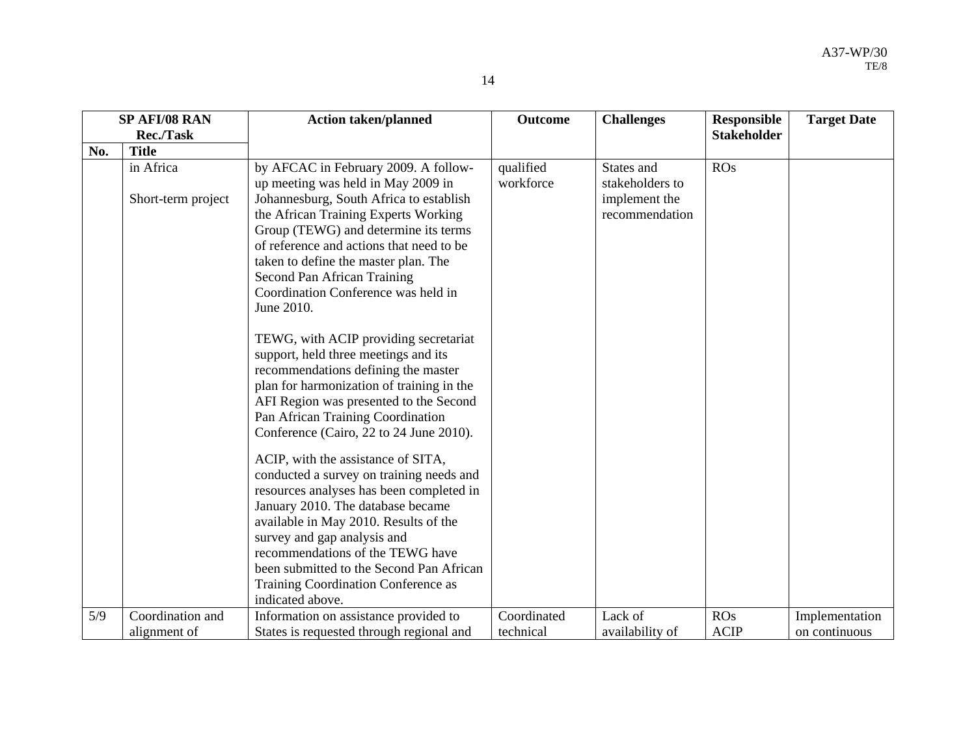| ۰, |
|----|
|----|

|     | SP AFI/08 RAN      | <b>Action taken/planned</b>                                                      | <b>Outcome</b> | <b>Challenges</b> | <b>Responsible</b> | <b>Target Date</b> |
|-----|--------------------|----------------------------------------------------------------------------------|----------------|-------------------|--------------------|--------------------|
|     | <b>Rec./Task</b>   |                                                                                  |                |                   | <b>Stakeholder</b> |                    |
| No. | <b>Title</b>       |                                                                                  |                |                   |                    |                    |
|     | in Africa          | by AFCAC in February 2009. A follow-                                             | qualified      | States and        | ROS                |                    |
|     |                    | up meeting was held in May 2009 in                                               | workforce      | stakeholders to   |                    |                    |
|     | Short-term project | Johannesburg, South Africa to establish                                          |                | implement the     |                    |                    |
|     |                    | the African Training Experts Working                                             |                | recommendation    |                    |                    |
|     |                    | Group (TEWG) and determine its terms                                             |                |                   |                    |                    |
|     |                    | of reference and actions that need to be<br>taken to define the master plan. The |                |                   |                    |                    |
|     |                    | Second Pan African Training                                                      |                |                   |                    |                    |
|     |                    | Coordination Conference was held in                                              |                |                   |                    |                    |
|     |                    | June 2010.                                                                       |                |                   |                    |                    |
|     |                    |                                                                                  |                |                   |                    |                    |
|     |                    | TEWG, with ACIP providing secretariat                                            |                |                   |                    |                    |
|     |                    | support, held three meetings and its                                             |                |                   |                    |                    |
|     |                    | recommendations defining the master                                              |                |                   |                    |                    |
|     |                    | plan for harmonization of training in the                                        |                |                   |                    |                    |
|     |                    | AFI Region was presented to the Second                                           |                |                   |                    |                    |
|     |                    | Pan African Training Coordination<br>Conference (Cairo, 22 to 24 June 2010).     |                |                   |                    |                    |
|     |                    |                                                                                  |                |                   |                    |                    |
|     |                    | ACIP, with the assistance of SITA,                                               |                |                   |                    |                    |
|     |                    | conducted a survey on training needs and                                         |                |                   |                    |                    |
|     |                    | resources analyses has been completed in                                         |                |                   |                    |                    |
|     |                    | January 2010. The database became                                                |                |                   |                    |                    |
|     |                    | available in May 2010. Results of the                                            |                |                   |                    |                    |
|     |                    | survey and gap analysis and                                                      |                |                   |                    |                    |
|     |                    | recommendations of the TEWG have                                                 |                |                   |                    |                    |
|     |                    | been submitted to the Second Pan African                                         |                |                   |                    |                    |
|     |                    | Training Coordination Conference as<br>indicated above.                          |                |                   |                    |                    |
| 5/9 | Coordination and   | Information on assistance provided to                                            | Coordinated    | Lack of           | ROS                | Implementation     |
|     | alignment of       | States is requested through regional and                                         | technical      | availability of   | <b>ACIP</b>        | on continuous      |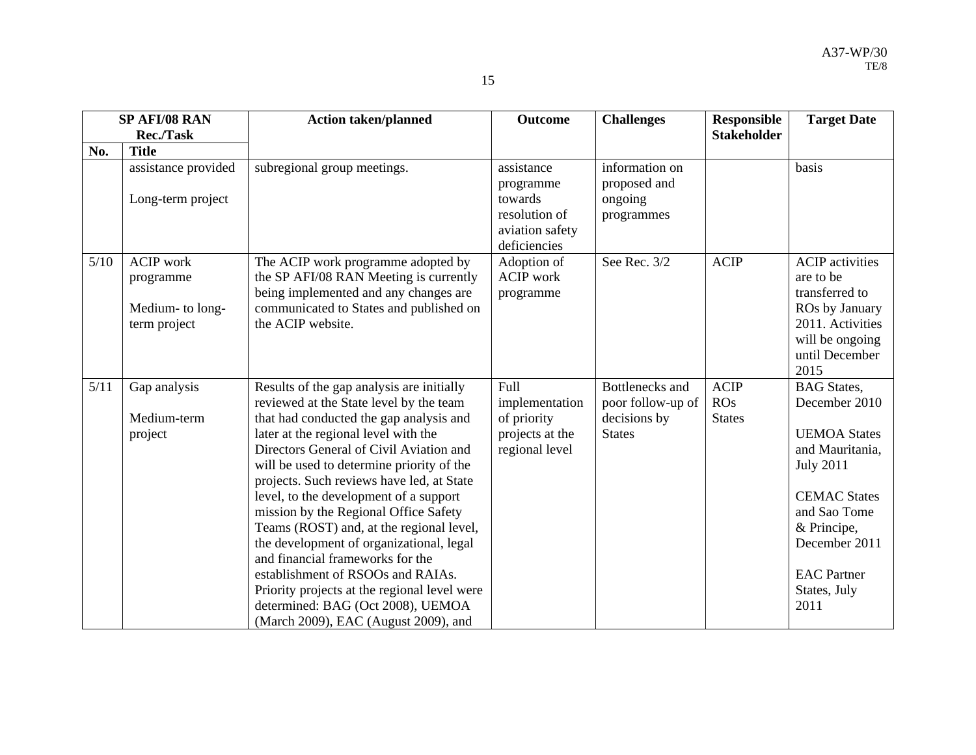|      | SP AFI/08 RAN                                                     | <b>Action taken/planned</b>                                                                                                                                                                                                                                                                                                                                                                                                                                                                                                                                                                                                                                                                   | <b>Outcome</b>                                                                         | <b>Challenges</b>                                                     | <b>Responsible</b>                  | <b>Target Date</b>                                                                                                                                                                                                     |
|------|-------------------------------------------------------------------|-----------------------------------------------------------------------------------------------------------------------------------------------------------------------------------------------------------------------------------------------------------------------------------------------------------------------------------------------------------------------------------------------------------------------------------------------------------------------------------------------------------------------------------------------------------------------------------------------------------------------------------------------------------------------------------------------|----------------------------------------------------------------------------------------|-----------------------------------------------------------------------|-------------------------------------|------------------------------------------------------------------------------------------------------------------------------------------------------------------------------------------------------------------------|
|      | <b>Rec./Task</b>                                                  |                                                                                                                                                                                                                                                                                                                                                                                                                                                                                                                                                                                                                                                                                               |                                                                                        |                                                                       | <b>Stakeholder</b>                  |                                                                                                                                                                                                                        |
| No.  | <b>Title</b>                                                      |                                                                                                                                                                                                                                                                                                                                                                                                                                                                                                                                                                                                                                                                                               |                                                                                        |                                                                       |                                     |                                                                                                                                                                                                                        |
|      | assistance provided<br>Long-term project                          | subregional group meetings.                                                                                                                                                                                                                                                                                                                                                                                                                                                                                                                                                                                                                                                                   | assistance<br>programme<br>towards<br>resolution of<br>aviation safety<br>deficiencies | information on<br>proposed and<br>ongoing<br>programmes               |                                     | basis                                                                                                                                                                                                                  |
| 5/10 | <b>ACIP</b> work<br>programme<br>Medium- to long-<br>term project | The ACIP work programme adopted by<br>the SP AFI/08 RAN Meeting is currently<br>being implemented and any changes are<br>communicated to States and published on<br>the ACIP website.                                                                                                                                                                                                                                                                                                                                                                                                                                                                                                         | Adoption of<br><b>ACIP</b> work<br>programme                                           | See Rec. 3/2                                                          | <b>ACIP</b>                         | <b>ACIP</b> activities<br>are to be<br>transferred to<br>ROs by January<br>2011. Activities<br>will be ongoing<br>until December<br>2015                                                                               |
| 5/11 | Gap analysis<br>Medium-term<br>project                            | Results of the gap analysis are initially<br>reviewed at the State level by the team<br>that had conducted the gap analysis and<br>later at the regional level with the<br>Directors General of Civil Aviation and<br>will be used to determine priority of the<br>projects. Such reviews have led, at State<br>level, to the development of a support<br>mission by the Regional Office Safety<br>Teams (ROST) and, at the regional level,<br>the development of organizational, legal<br>and financial frameworks for the<br>establishment of RSOOs and RAIAs.<br>Priority projects at the regional level were<br>determined: BAG (Oct 2008), UEMOA<br>(March 2009), EAC (August 2009), and | Full<br>implementation<br>of priority<br>projects at the<br>regional level             | Bottlenecks and<br>poor follow-up of<br>decisions by<br><b>States</b> | <b>ACIP</b><br>ROS<br><b>States</b> | <b>BAG</b> States,<br>December 2010<br><b>UEMOA States</b><br>and Mauritania,<br><b>July 2011</b><br><b>CEMAC States</b><br>and Sao Tome<br>& Principe,<br>December 2011<br><b>EAC</b> Partner<br>States, July<br>2011 |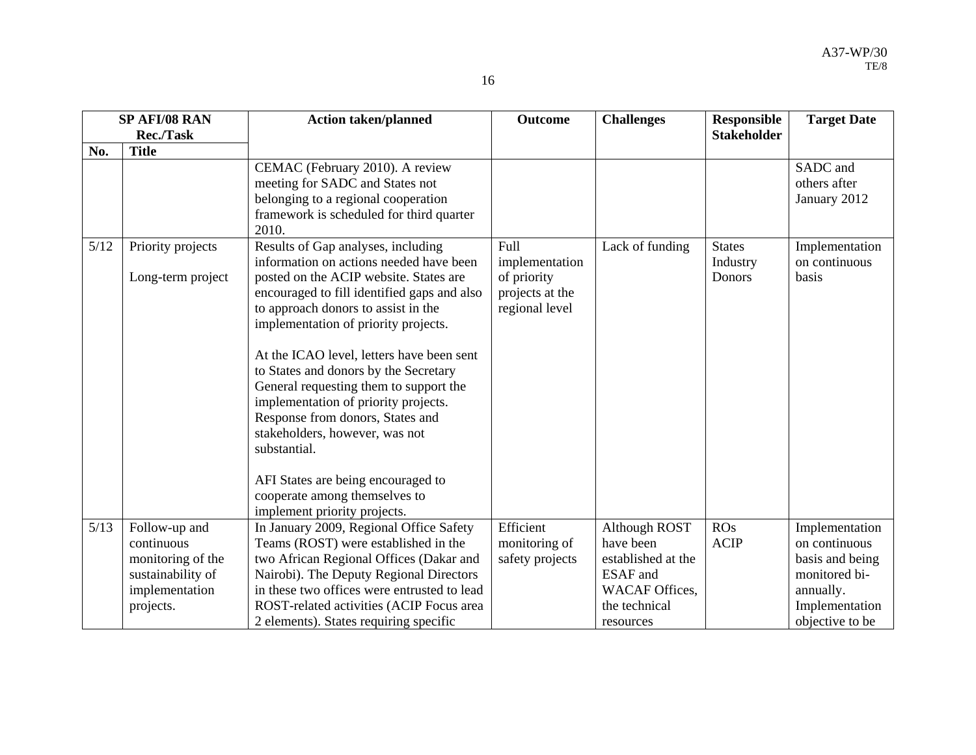|  | I |
|--|---|
|  | I |

|      | SP AFI/08 RAN                          | <b>Action taken/planned</b>                                                                                                                                                                                                                                                                                                                                                                                                                                                                                                                                                                | <b>Outcome</b>                                                             | <b>Challenges</b>     | <b>Responsible</b>                  | <b>Target Date</b>                       |
|------|----------------------------------------|--------------------------------------------------------------------------------------------------------------------------------------------------------------------------------------------------------------------------------------------------------------------------------------------------------------------------------------------------------------------------------------------------------------------------------------------------------------------------------------------------------------------------------------------------------------------------------------------|----------------------------------------------------------------------------|-----------------------|-------------------------------------|------------------------------------------|
|      | <b>Rec./Task</b>                       |                                                                                                                                                                                                                                                                                                                                                                                                                                                                                                                                                                                            |                                                                            |                       | <b>Stakeholder</b>                  |                                          |
| No.  | <b>Title</b>                           |                                                                                                                                                                                                                                                                                                                                                                                                                                                                                                                                                                                            |                                                                            |                       |                                     |                                          |
|      |                                        | CEMAC (February 2010). A review<br>meeting for SADC and States not<br>belonging to a regional cooperation<br>framework is scheduled for third quarter<br>2010.                                                                                                                                                                                                                                                                                                                                                                                                                             |                                                                            |                       |                                     | SADC and<br>others after<br>January 2012 |
| 5/12 | Priority projects<br>Long-term project | Results of Gap analyses, including<br>information on actions needed have been<br>posted on the ACIP website. States are<br>encouraged to fill identified gaps and also<br>to approach donors to assist in the<br>implementation of priority projects.<br>At the ICAO level, letters have been sent<br>to States and donors by the Secretary<br>General requesting them to support the<br>implementation of priority projects.<br>Response from donors, States and<br>stakeholders, however, was not<br>substantial.<br>AFI States are being encouraged to<br>cooperate among themselves to | Full<br>implementation<br>of priority<br>projects at the<br>regional level | Lack of funding       | <b>States</b><br>Industry<br>Donors | Implementation<br>on continuous<br>basis |
| 5/13 | Follow-up and                          | implement priority projects.<br>In January 2009, Regional Office Safety                                                                                                                                                                                                                                                                                                                                                                                                                                                                                                                    | Efficient                                                                  | <b>Although ROST</b>  | ROS                                 | Implementation                           |
|      | continuous                             | Teams (ROST) were established in the                                                                                                                                                                                                                                                                                                                                                                                                                                                                                                                                                       | monitoring of                                                              | have been             | <b>ACIP</b>                         | on continuous                            |
|      | monitoring of the                      | two African Regional Offices (Dakar and                                                                                                                                                                                                                                                                                                                                                                                                                                                                                                                                                    | safety projects                                                            | established at the    |                                     | basis and being                          |
|      | sustainability of                      | Nairobi). The Deputy Regional Directors                                                                                                                                                                                                                                                                                                                                                                                                                                                                                                                                                    |                                                                            | <b>ESAF</b> and       |                                     | monitored bi-                            |
|      | implementation                         | in these two offices were entrusted to lead                                                                                                                                                                                                                                                                                                                                                                                                                                                                                                                                                |                                                                            | <b>WACAF</b> Offices. |                                     | annually.                                |
|      | projects.                              | ROST-related activities (ACIP Focus area                                                                                                                                                                                                                                                                                                                                                                                                                                                                                                                                                   |                                                                            | the technical         |                                     | Implementation                           |
|      |                                        | 2 elements). States requiring specific                                                                                                                                                                                                                                                                                                                                                                                                                                                                                                                                                     |                                                                            | resources             |                                     | objective to be                          |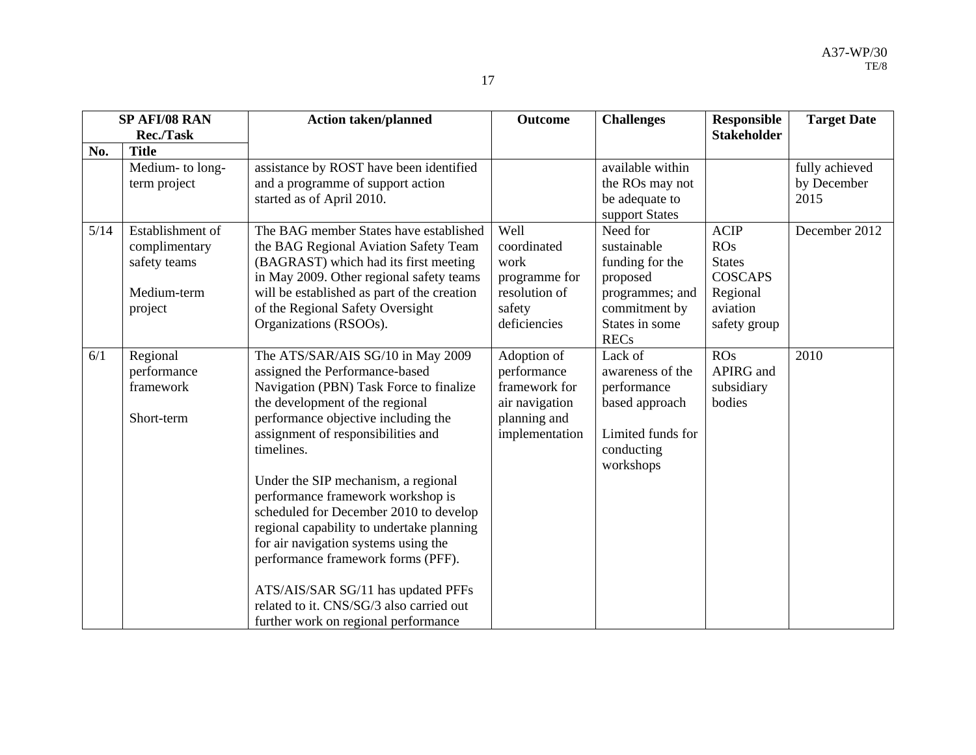|      | SP AFI/08 RAN                                                               | <b>Action taken/planned</b>                                                                                                                                                                                                                                                                                                                                                                                                                                                                                                                                                                                             | <b>Outcome</b>                                                                                  | <b>Challenges</b>                                                                                                           | <b>Responsible</b>                                                                            | <b>Target Date</b>                    |
|------|-----------------------------------------------------------------------------|-------------------------------------------------------------------------------------------------------------------------------------------------------------------------------------------------------------------------------------------------------------------------------------------------------------------------------------------------------------------------------------------------------------------------------------------------------------------------------------------------------------------------------------------------------------------------------------------------------------------------|-------------------------------------------------------------------------------------------------|-----------------------------------------------------------------------------------------------------------------------------|-----------------------------------------------------------------------------------------------|---------------------------------------|
|      | <b>Rec./Task</b>                                                            |                                                                                                                                                                                                                                                                                                                                                                                                                                                                                                                                                                                                                         |                                                                                                 |                                                                                                                             | <b>Stakeholder</b>                                                                            |                                       |
| No.  | <b>Title</b>                                                                |                                                                                                                                                                                                                                                                                                                                                                                                                                                                                                                                                                                                                         |                                                                                                 |                                                                                                                             |                                                                                               |                                       |
|      | Medium- to long-<br>term project                                            | assistance by ROST have been identified<br>and a programme of support action<br>started as of April 2010.                                                                                                                                                                                                                                                                                                                                                                                                                                                                                                               |                                                                                                 | available within<br>the ROs may not<br>be adequate to<br>support States                                                     |                                                                                               | fully achieved<br>by December<br>2015 |
| 5/14 | Establishment of<br>complimentary<br>safety teams<br>Medium-term<br>project | The BAG member States have established<br>the BAG Regional Aviation Safety Team<br>(BAGRAST) which had its first meeting<br>in May 2009. Other regional safety teams<br>will be established as part of the creation<br>of the Regional Safety Oversight<br>Organizations (RSOOs).                                                                                                                                                                                                                                                                                                                                       | Well<br>coordinated<br>work<br>programme for<br>resolution of<br>safety<br>deficiencies         | Need for<br>sustainable<br>funding for the<br>proposed<br>programmes; and<br>commitment by<br>States in some<br><b>RECs</b> | <b>ACIP</b><br>ROS<br><b>States</b><br><b>COSCAPS</b><br>Regional<br>aviation<br>safety group | December 2012                         |
| 6/1  | Regional<br>performance<br>framework<br>Short-term                          | The ATS/SAR/AIS SG/10 in May 2009<br>assigned the Performance-based<br>Navigation (PBN) Task Force to finalize<br>the development of the regional<br>performance objective including the<br>assignment of responsibilities and<br>timelines.<br>Under the SIP mechanism, a regional<br>performance framework workshop is<br>scheduled for December 2010 to develop<br>regional capability to undertake planning<br>for air navigation systems using the<br>performance framework forms (PFF).<br>ATS/AIS/SAR SG/11 has updated PFFs<br>related to it. CNS/SG/3 also carried out<br>further work on regional performance | Adoption of<br>performance<br>framework for<br>air navigation<br>planning and<br>implementation | Lack of<br>awareness of the<br>performance<br>based approach<br>Limited funds for<br>conducting<br>workshops                | ROS<br>APIRG and<br>subsidiary<br>bodies                                                      | 2010                                  |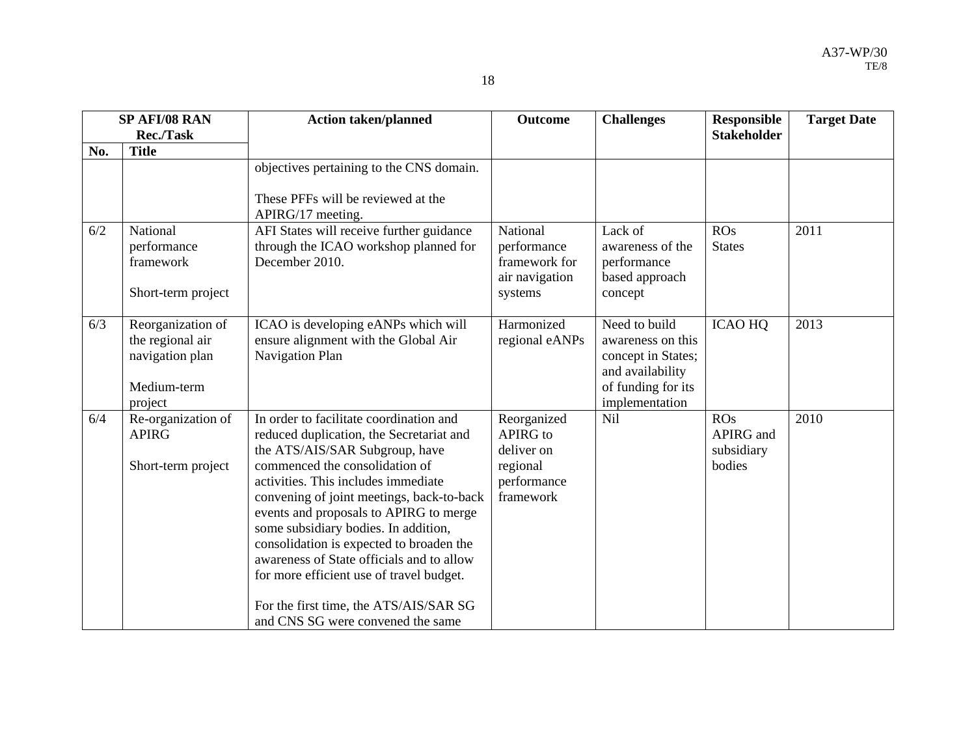|     | SP AFI/08 RAN                                                                      | <b>Action taken/planned</b>                                                                                                                                                                                                                                                                                                                                                                                                                                                                                                                       | <b>Outcome</b>                                                                | <b>Challenges</b>                                                                                                    | <b>Responsible</b>                       | <b>Target Date</b> |
|-----|------------------------------------------------------------------------------------|---------------------------------------------------------------------------------------------------------------------------------------------------------------------------------------------------------------------------------------------------------------------------------------------------------------------------------------------------------------------------------------------------------------------------------------------------------------------------------------------------------------------------------------------------|-------------------------------------------------------------------------------|----------------------------------------------------------------------------------------------------------------------|------------------------------------------|--------------------|
|     | Rec./Task                                                                          |                                                                                                                                                                                                                                                                                                                                                                                                                                                                                                                                                   |                                                                               |                                                                                                                      | <b>Stakeholder</b>                       |                    |
| No. | <b>Title</b>                                                                       |                                                                                                                                                                                                                                                                                                                                                                                                                                                                                                                                                   |                                                                               |                                                                                                                      |                                          |                    |
|     |                                                                                    | objectives pertaining to the CNS domain.<br>These PFFs will be reviewed at the<br>APIRG/17 meeting.                                                                                                                                                                                                                                                                                                                                                                                                                                               |                                                                               |                                                                                                                      |                                          |                    |
| 6/2 | National<br>performance<br>framework<br>Short-term project                         | AFI States will receive further guidance<br>through the ICAO workshop planned for<br>December 2010.                                                                                                                                                                                                                                                                                                                                                                                                                                               | National<br>performance<br>framework for<br>air navigation<br>systems         | Lack of<br>awareness of the<br>performance<br>based approach<br>concept                                              | ROS<br><b>States</b>                     | 2011               |
| 6/3 | Reorganization of<br>the regional air<br>navigation plan<br>Medium-term<br>project | ICAO is developing eANPs which will<br>ensure alignment with the Global Air<br>Navigation Plan                                                                                                                                                                                                                                                                                                                                                                                                                                                    | Harmonized<br>regional eANPs                                                  | Need to build<br>awareness on this<br>concept in States;<br>and availability<br>of funding for its<br>implementation | <b>ICAO HQ</b>                           | 2013               |
| 6/4 | Re-organization of<br><b>APIRG</b><br>Short-term project                           | In order to facilitate coordination and<br>reduced duplication, the Secretariat and<br>the ATS/AIS/SAR Subgroup, have<br>commenced the consolidation of<br>activities. This includes immediate<br>convening of joint meetings, back-to-back<br>events and proposals to APIRG to merge<br>some subsidiary bodies. In addition,<br>consolidation is expected to broaden the<br>awareness of State officials and to allow<br>for more efficient use of travel budget.<br>For the first time, the ATS/AIS/SAR SG<br>and CNS SG were convened the same | Reorganized<br>APIRG to<br>deliver on<br>regional<br>performance<br>framework | Nil                                                                                                                  | ROS<br>APIRG and<br>subsidiary<br>bodies | 2010               |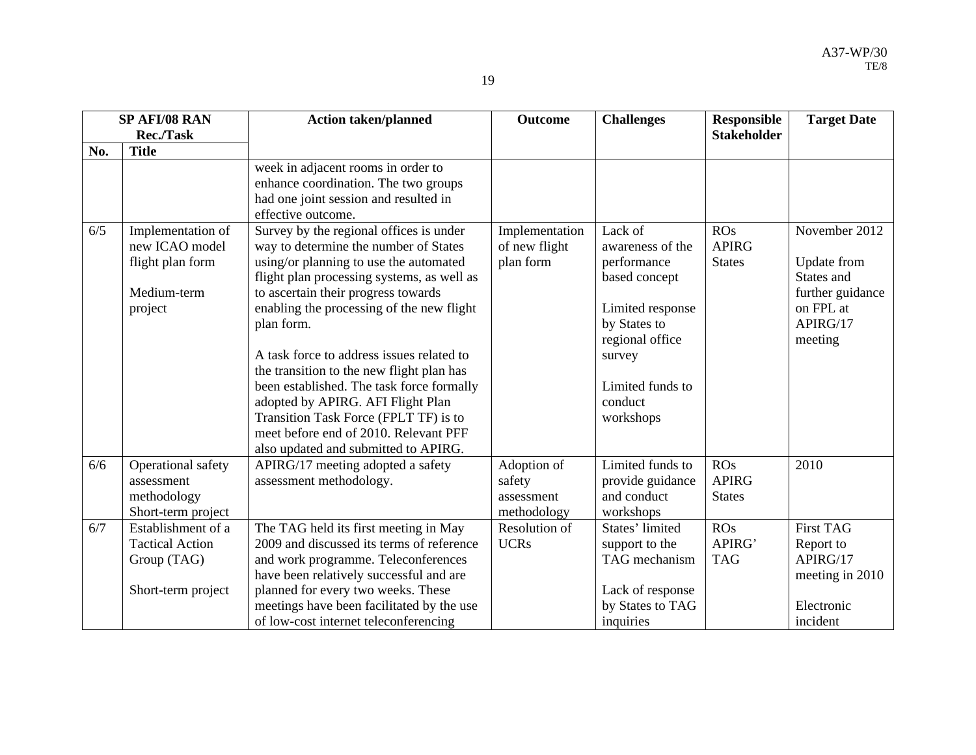|     | SP AFI/08 RAN                                                                     | <b>Action taken/planned</b>                                                                                                                                                                                                                                                                                                                                                                                                                                                                                                                                                      | <b>Outcome</b>                                     | <b>Challenges</b>                                                                                                                                                        | <b>Responsible</b>                   | <b>Target Date</b>                                                                                 |
|-----|-----------------------------------------------------------------------------------|----------------------------------------------------------------------------------------------------------------------------------------------------------------------------------------------------------------------------------------------------------------------------------------------------------------------------------------------------------------------------------------------------------------------------------------------------------------------------------------------------------------------------------------------------------------------------------|----------------------------------------------------|--------------------------------------------------------------------------------------------------------------------------------------------------------------------------|--------------------------------------|----------------------------------------------------------------------------------------------------|
|     | Rec./Task                                                                         |                                                                                                                                                                                                                                                                                                                                                                                                                                                                                                                                                                                  |                                                    |                                                                                                                                                                          | <b>Stakeholder</b>                   |                                                                                                    |
| No. | <b>Title</b>                                                                      |                                                                                                                                                                                                                                                                                                                                                                                                                                                                                                                                                                                  |                                                    |                                                                                                                                                                          |                                      |                                                                                                    |
|     |                                                                                   | week in adjacent rooms in order to<br>enhance coordination. The two groups<br>had one joint session and resulted in<br>effective outcome.                                                                                                                                                                                                                                                                                                                                                                                                                                        |                                                    |                                                                                                                                                                          |                                      |                                                                                                    |
| 6/5 | Implementation of<br>new ICAO model<br>flight plan form<br>Medium-term<br>project | Survey by the regional offices is under<br>way to determine the number of States<br>using/or planning to use the automated<br>flight plan processing systems, as well as<br>to ascertain their progress towards<br>enabling the processing of the new flight<br>plan form.<br>A task force to address issues related to<br>the transition to the new flight plan has<br>been established. The task force formally<br>adopted by APIRG. AFI Flight Plan<br>Transition Task Force (FPLT TF) is to<br>meet before end of 2010. Relevant PFF<br>also updated and submitted to APIRG. | Implementation<br>of new flight<br>plan form       | Lack of<br>awareness of the<br>performance<br>based concept<br>Limited response<br>by States to<br>regional office<br>survey<br>Limited funds to<br>conduct<br>workshops | ROS<br><b>APIRG</b><br><b>States</b> | November 2012<br>Update from<br>States and<br>further guidance<br>on FPL at<br>APIRG/17<br>meeting |
| 6/6 | Operational safety<br>assessment<br>methodology<br>Short-term project             | APIRG/17 meeting adopted a safety<br>assessment methodology.                                                                                                                                                                                                                                                                                                                                                                                                                                                                                                                     | Adoption of<br>safety<br>assessment<br>methodology | Limited funds to<br>provide guidance<br>and conduct<br>workshops                                                                                                         | ROS<br><b>APIRG</b><br><b>States</b> | 2010                                                                                               |
| 6/7 | Establishment of a<br><b>Tactical Action</b><br>Group (TAG)<br>Short-term project | The TAG held its first meeting in May<br>2009 and discussed its terms of reference<br>and work programme. Teleconferences<br>have been relatively successful and are<br>planned for every two weeks. These<br>meetings have been facilitated by the use<br>of low-cost internet teleconferencing                                                                                                                                                                                                                                                                                 | Resolution of<br><b>UCRs</b>                       | States' limited<br>support to the<br>TAG mechanism<br>Lack of response<br>by States to TAG<br>inquiries                                                                  | ROS<br>APIRG'<br><b>TAG</b>          | <b>First TAG</b><br>Report to<br>APIRG/17<br>meeting in 2010<br>Electronic<br>incident             |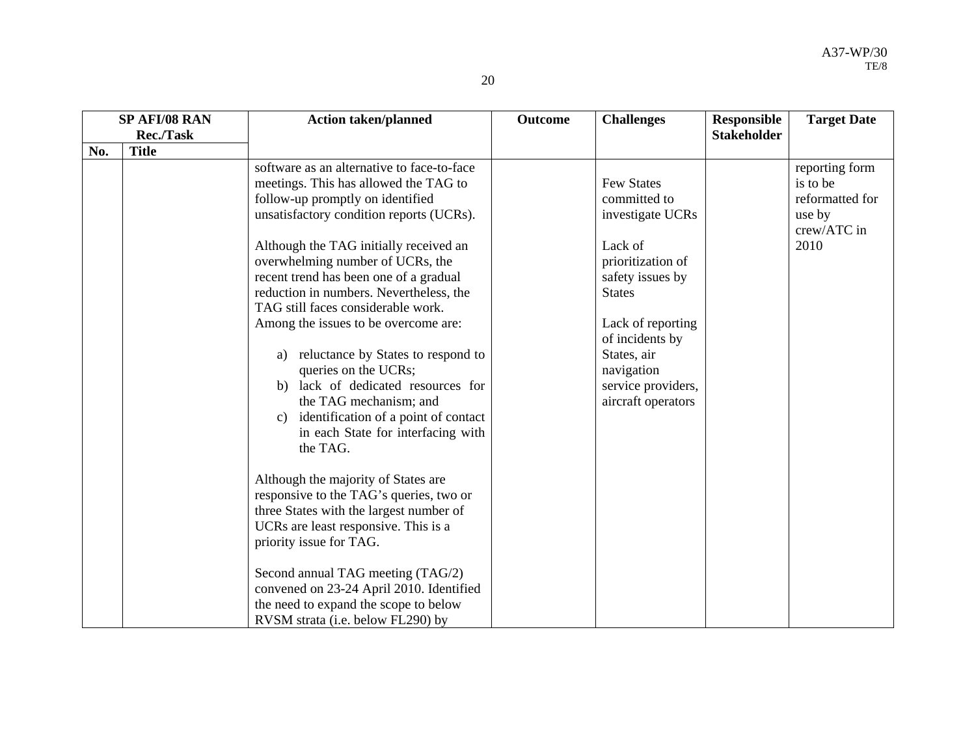|     | SP AFI/08 RAN | Action taken/planned                       | <b>Outcome</b> | <b>Challenges</b>  | <b>Responsible</b> | <b>Target Date</b> |
|-----|---------------|--------------------------------------------|----------------|--------------------|--------------------|--------------------|
|     | Rec./Task     |                                            |                |                    | <b>Stakeholder</b> |                    |
| No. | <b>Title</b>  |                                            |                |                    |                    |                    |
|     |               | software as an alternative to face-to-face |                |                    |                    | reporting form     |
|     |               | meetings. This has allowed the TAG to      |                | <b>Few States</b>  |                    | is to be           |
|     |               | follow-up promptly on identified           |                | committed to       |                    | reformatted for    |
|     |               | unsatisfactory condition reports (UCRs).   |                | investigate UCRs   |                    | use by             |
|     |               |                                            |                |                    |                    | crew/ATC in        |
|     |               | Although the TAG initially received an     |                | Lack of            |                    | 2010               |
|     |               | overwhelming number of UCRs, the           |                | prioritization of  |                    |                    |
|     |               | recent trend has been one of a gradual     |                | safety issues by   |                    |                    |
|     |               | reduction in numbers. Nevertheless, the    |                | <b>States</b>      |                    |                    |
|     |               | TAG still faces considerable work.         |                |                    |                    |                    |
|     |               | Among the issues to be overcome are:       |                | Lack of reporting  |                    |                    |
|     |               |                                            |                | of incidents by    |                    |                    |
|     |               | reluctance by States to respond to<br>a)   |                | States, air        |                    |                    |
|     |               | queries on the UCRs;                       |                | navigation         |                    |                    |
|     |               | b) lack of dedicated resources for         |                | service providers, |                    |                    |
|     |               | the TAG mechanism; and                     |                | aircraft operators |                    |                    |
|     |               | identification of a point of contact<br>c) |                |                    |                    |                    |
|     |               | in each State for interfacing with         |                |                    |                    |                    |
|     |               | the TAG.                                   |                |                    |                    |                    |
|     |               |                                            |                |                    |                    |                    |
|     |               | Although the majority of States are        |                |                    |                    |                    |
|     |               | responsive to the TAG's queries, two or    |                |                    |                    |                    |
|     |               | three States with the largest number of    |                |                    |                    |                    |
|     |               | UCRs are least responsive. This is a       |                |                    |                    |                    |
|     |               | priority issue for TAG.                    |                |                    |                    |                    |
|     |               |                                            |                |                    |                    |                    |
|     |               | Second annual TAG meeting (TAG/2)          |                |                    |                    |                    |
|     |               | convened on 23-24 April 2010. Identified   |                |                    |                    |                    |
|     |               | the need to expand the scope to below      |                |                    |                    |                    |
|     |               | RVSM strata (i.e. below FL290) by          |                |                    |                    |                    |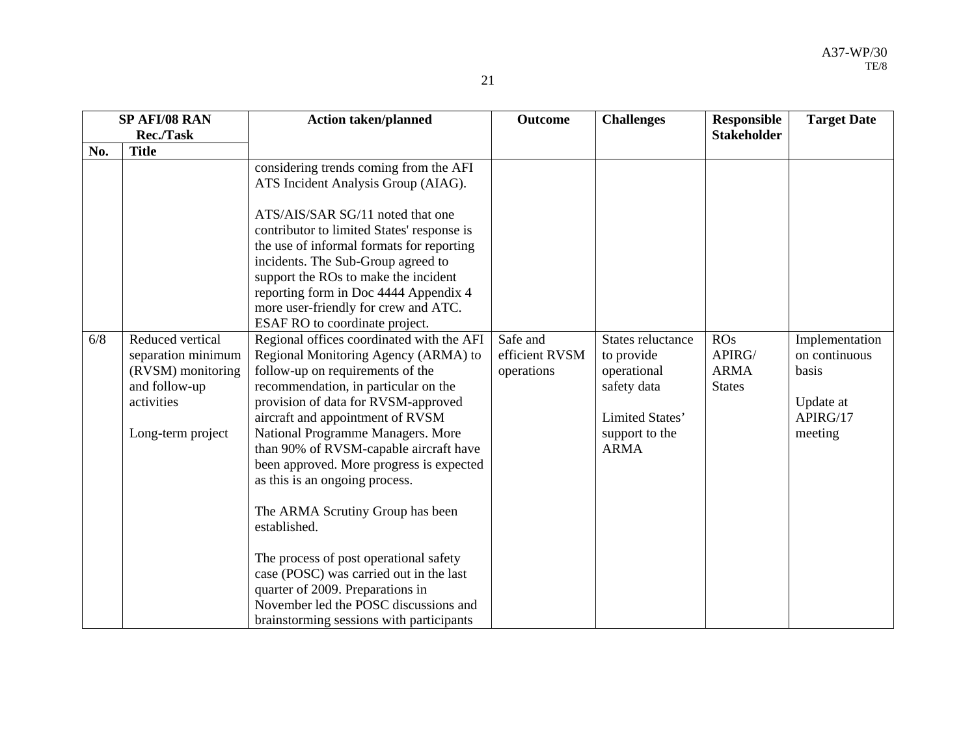| ٠ |  |
|---|--|
|   |  |

|     | SP AFI/08 RAN                                                                                                   | <b>Action taken/planned</b>                                                                                                                                                                                                                                                                                                                                                                                                                                                                                                                                                                                                                                             | <b>Outcome</b>                           | <b>Challenges</b>                                                                                                 | <b>Responsible</b>                            | <b>Target Date</b>                                                           |
|-----|-----------------------------------------------------------------------------------------------------------------|-------------------------------------------------------------------------------------------------------------------------------------------------------------------------------------------------------------------------------------------------------------------------------------------------------------------------------------------------------------------------------------------------------------------------------------------------------------------------------------------------------------------------------------------------------------------------------------------------------------------------------------------------------------------------|------------------------------------------|-------------------------------------------------------------------------------------------------------------------|-----------------------------------------------|------------------------------------------------------------------------------|
|     | Rec./Task                                                                                                       |                                                                                                                                                                                                                                                                                                                                                                                                                                                                                                                                                                                                                                                                         |                                          |                                                                                                                   | <b>Stakeholder</b>                            |                                                                              |
| No. | <b>Title</b>                                                                                                    |                                                                                                                                                                                                                                                                                                                                                                                                                                                                                                                                                                                                                                                                         |                                          |                                                                                                                   |                                               |                                                                              |
|     |                                                                                                                 | considering trends coming from the AFI<br>ATS Incident Analysis Group (AIAG).<br>ATS/AIS/SAR SG/11 noted that one<br>contributor to limited States' response is<br>the use of informal formats for reporting                                                                                                                                                                                                                                                                                                                                                                                                                                                            |                                          |                                                                                                                   |                                               |                                                                              |
|     |                                                                                                                 | incidents. The Sub-Group agreed to<br>support the ROs to make the incident<br>reporting form in Doc 4444 Appendix 4<br>more user-friendly for crew and ATC.<br>ESAF RO to coordinate project.                                                                                                                                                                                                                                                                                                                                                                                                                                                                           |                                          |                                                                                                                   |                                               |                                                                              |
| 6/8 | Reduced vertical<br>separation minimum<br>(RVSM) monitoring<br>and follow-up<br>activities<br>Long-term project | Regional offices coordinated with the AFI<br>Regional Monitoring Agency (ARMA) to<br>follow-up on requirements of the<br>recommendation, in particular on the<br>provision of data for RVSM-approved<br>aircraft and appointment of RVSM<br>National Programme Managers. More<br>than 90% of RVSM-capable aircraft have<br>been approved. More progress is expected<br>as this is an ongoing process.<br>The ARMA Scrutiny Group has been<br>established.<br>The process of post operational safety<br>case (POSC) was carried out in the last<br>quarter of 2009. Preparations in<br>November led the POSC discussions and<br>brainstorming sessions with participants | Safe and<br>efficient RVSM<br>operations | States reluctance<br>to provide<br>operational<br>safety data<br>Limited States'<br>support to the<br><b>ARMA</b> | ROS<br>APIRG/<br><b>ARMA</b><br><b>States</b> | Implementation<br>on continuous<br>basis<br>Update at<br>APIRG/17<br>meeting |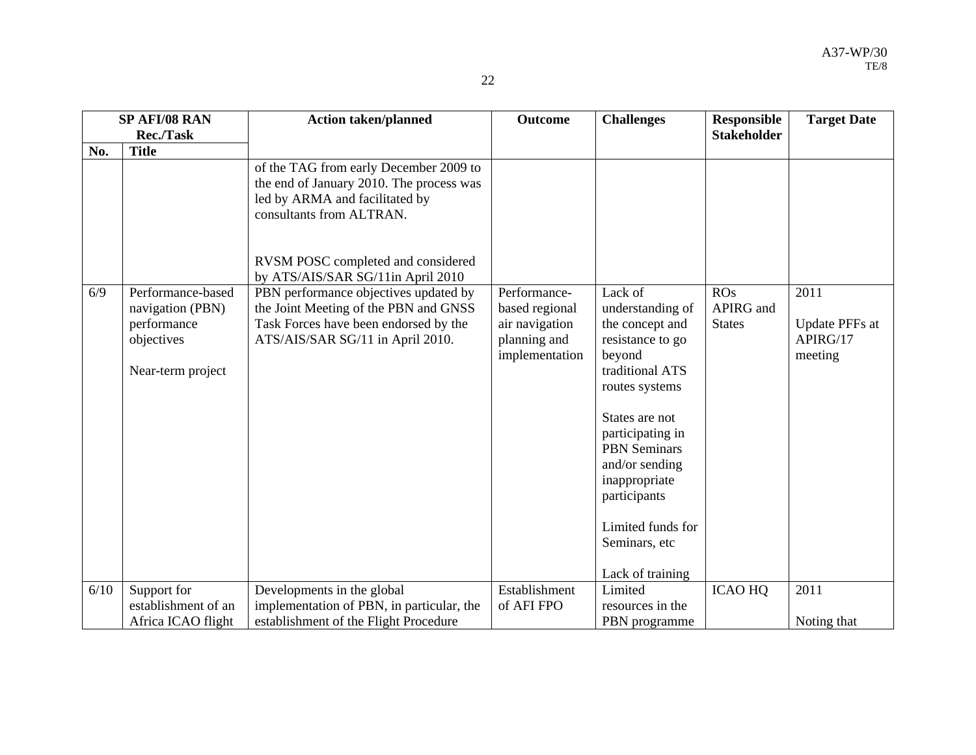|      | SP AFI/08 RAN                                                                           | <b>Action taken/planned</b>                                                                                                                                                                                                 | Outcome                                                                            | <b>Challenges</b>                                                                                                                                                                                                                                                                           | <b>Responsible</b>                | <b>Target Date</b>                            |
|------|-----------------------------------------------------------------------------------------|-----------------------------------------------------------------------------------------------------------------------------------------------------------------------------------------------------------------------------|------------------------------------------------------------------------------------|---------------------------------------------------------------------------------------------------------------------------------------------------------------------------------------------------------------------------------------------------------------------------------------------|-----------------------------------|-----------------------------------------------|
|      | Rec./Task                                                                               |                                                                                                                                                                                                                             |                                                                                    |                                                                                                                                                                                                                                                                                             | <b>Stakeholder</b>                |                                               |
| No.  | <b>Title</b>                                                                            |                                                                                                                                                                                                                             |                                                                                    |                                                                                                                                                                                                                                                                                             |                                   |                                               |
|      |                                                                                         | of the TAG from early December 2009 to<br>the end of January 2010. The process was<br>led by ARMA and facilitated by<br>consultants from ALTRAN.<br>RVSM POSC completed and considered<br>by ATS/AIS/SAR SG/11in April 2010 |                                                                                    |                                                                                                                                                                                                                                                                                             |                                   |                                               |
| 6/9  | Performance-based<br>navigation (PBN)<br>performance<br>objectives<br>Near-term project | PBN performance objectives updated by<br>the Joint Meeting of the PBN and GNSS<br>Task Forces have been endorsed by the<br>ATS/AIS/SAR SG/11 in April 2010.                                                                 | Performance-<br>based regional<br>air navigation<br>planning and<br>implementation | Lack of<br>understanding of<br>the concept and<br>resistance to go<br>beyond<br>traditional ATS<br>routes systems<br>States are not<br>participating in<br><b>PBN</b> Seminars<br>and/or sending<br>inappropriate<br>participants<br>Limited funds for<br>Seminars, etc<br>Lack of training | ROS<br>APIRG and<br><b>States</b> | 2011<br>Update PFFs at<br>APIRG/17<br>meeting |
| 6/10 | Support for<br>establishment of an<br>Africa ICAO flight                                | Developments in the global<br>implementation of PBN, in particular, the<br>establishment of the Flight Procedure                                                                                                            | Establishment<br>of AFI FPO                                                        | Limited<br>resources in the<br>PBN programme                                                                                                                                                                                                                                                | <b>ICAO HQ</b>                    | 2011<br>Noting that                           |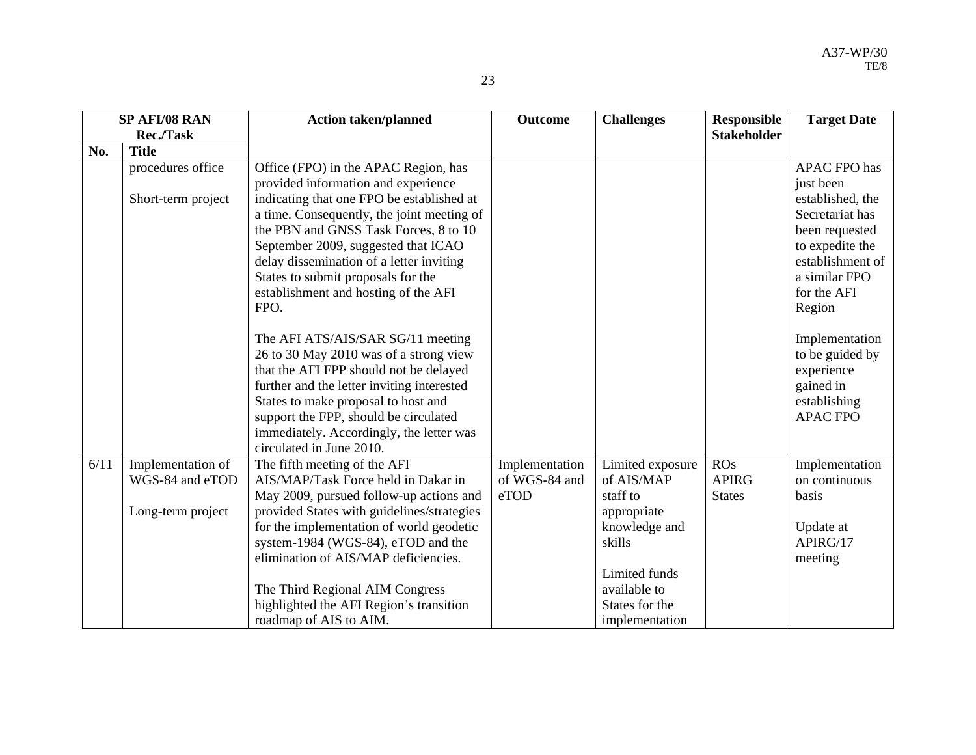|      | SP AFI/08 RAN      | <b>Action taken/planned</b>                                                      | <b>Outcome</b> | <b>Challenges</b> | <b>Responsible</b> | <b>Target Date</b>      |
|------|--------------------|----------------------------------------------------------------------------------|----------------|-------------------|--------------------|-------------------------|
|      | Rec./Task          |                                                                                  |                |                   | <b>Stakeholder</b> |                         |
| No.  | <b>Title</b>       |                                                                                  |                |                   |                    |                         |
|      | procedures office  | Office (FPO) in the APAC Region, has                                             |                |                   |                    | <b>APAC FPO has</b>     |
|      |                    | provided information and experience                                              |                |                   |                    | just been               |
|      | Short-term project | indicating that one FPO be established at                                        |                |                   |                    | established, the        |
|      |                    | a time. Consequently, the joint meeting of                                       |                |                   |                    | Secretariat has         |
|      |                    | the PBN and GNSS Task Forces, 8 to 10                                            |                |                   |                    | been requested          |
|      |                    | September 2009, suggested that ICAO                                              |                |                   |                    | to expedite the         |
|      |                    | delay dissemination of a letter inviting                                         |                |                   |                    | establishment of        |
|      |                    | States to submit proposals for the                                               |                |                   |                    | a similar FPO           |
|      |                    | establishment and hosting of the AFI                                             |                |                   |                    | for the AFI             |
|      |                    | FPO.                                                                             |                |                   |                    | Region                  |
|      |                    |                                                                                  |                |                   |                    |                         |
|      |                    | The AFI ATS/AIS/SAR SG/11 meeting                                                |                |                   |                    | Implementation          |
|      |                    | 26 to 30 May 2010 was of a strong view<br>that the AFI FPP should not be delayed |                |                   |                    | to be guided by         |
|      |                    | further and the letter inviting interested                                       |                |                   |                    | experience<br>gained in |
|      |                    | States to make proposal to host and                                              |                |                   |                    | establishing            |
|      |                    | support the FPP, should be circulated                                            |                |                   |                    | <b>APAC FPO</b>         |
|      |                    | immediately. Accordingly, the letter was                                         |                |                   |                    |                         |
|      |                    | circulated in June 2010.                                                         |                |                   |                    |                         |
| 6/11 | Implementation of  | The fifth meeting of the AFI                                                     | Implementation | Limited exposure  | ROS                | Implementation          |
|      | WGS-84 and eTOD    | AIS/MAP/Task Force held in Dakar in                                              | of WGS-84 and  | of AIS/MAP        | <b>APIRG</b>       | on continuous           |
|      |                    | May 2009, pursued follow-up actions and                                          | eTOD           | staff to          | <b>States</b>      | basis                   |
|      | Long-term project  | provided States with guidelines/strategies                                       |                | appropriate       |                    |                         |
|      |                    | for the implementation of world geodetic                                         |                | knowledge and     |                    | Update at               |
|      |                    | system-1984 (WGS-84), eTOD and the                                               |                | skills            |                    | APIRG/17                |
|      |                    | elimination of AIS/MAP deficiencies.                                             |                |                   |                    | meeting                 |
|      |                    |                                                                                  |                | Limited funds     |                    |                         |
|      |                    | The Third Regional AIM Congress                                                  |                | available to      |                    |                         |
|      |                    | highlighted the AFI Region's transition                                          |                | States for the    |                    |                         |
|      |                    | roadmap of AIS to AIM.                                                           |                | implementation    |                    |                         |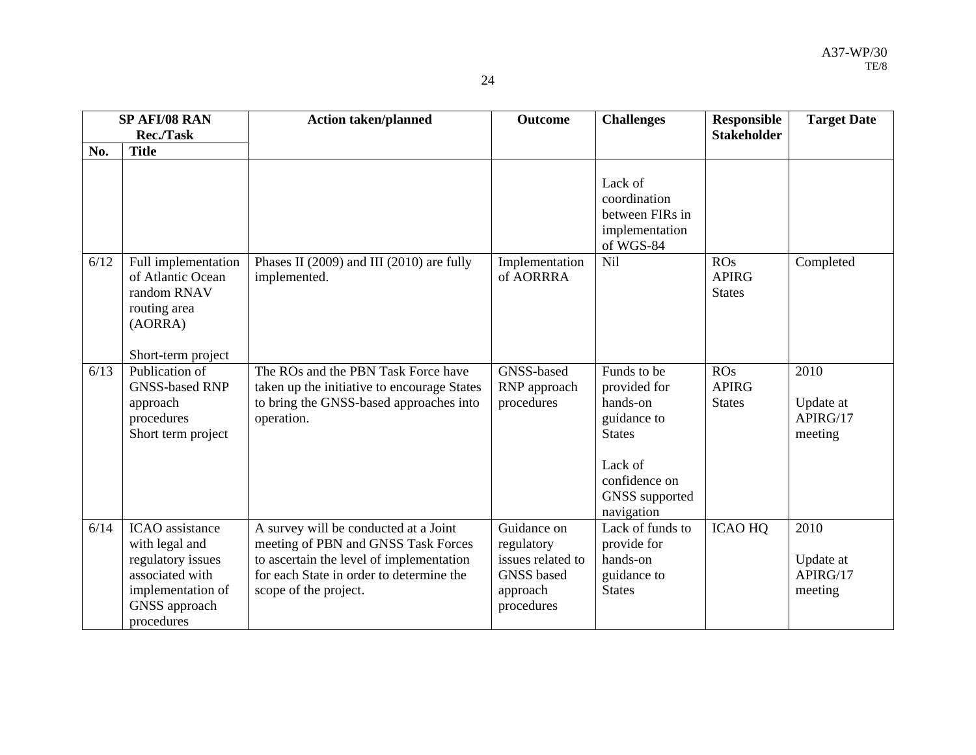| ٠ |  |
|---|--|
|   |  |

|      | SP AFI/08 RAN                                                                                                                        | <b>Action taken/planned</b>                                                                                                                                                                   | Outcome                                                                                       | <b>Challenges</b>                                                                                                                   | <b>Responsible</b>                   | <b>Target Date</b>                       |
|------|--------------------------------------------------------------------------------------------------------------------------------------|-----------------------------------------------------------------------------------------------------------------------------------------------------------------------------------------------|-----------------------------------------------------------------------------------------------|-------------------------------------------------------------------------------------------------------------------------------------|--------------------------------------|------------------------------------------|
|      | <b>Rec./Task</b>                                                                                                                     |                                                                                                                                                                                               |                                                                                               |                                                                                                                                     | <b>Stakeholder</b>                   |                                          |
| No.  | <b>Title</b>                                                                                                                         |                                                                                                                                                                                               |                                                                                               |                                                                                                                                     |                                      |                                          |
|      |                                                                                                                                      |                                                                                                                                                                                               |                                                                                               | Lack of<br>coordination<br>between FIRs in<br>implementation<br>of WGS-84                                                           |                                      |                                          |
| 6/12 | Full implementation<br>of Atlantic Ocean<br>random RNAV<br>routing area<br>(AORRA)<br>Short-term project                             | Phases II (2009) and III (2010) are fully<br>implemented.                                                                                                                                     | Implementation<br>of AORRRA                                                                   | Nil                                                                                                                                 | ROs<br><b>APIRG</b><br><b>States</b> | Completed                                |
| 6/13 | Publication of<br><b>GNSS-based RNP</b><br>approach<br>procedures<br>Short term project                                              | The ROs and the PBN Task Force have<br>taken up the initiative to encourage States<br>to bring the GNSS-based approaches into<br>operation.                                                   | GNSS-based<br>RNP approach<br>procedures                                                      | Funds to be<br>provided for<br>hands-on<br>guidance to<br><b>States</b><br>Lack of<br>confidence on<br>GNSS supported<br>navigation | ROS<br><b>APIRG</b><br><b>States</b> | 2010<br>Update at<br>APIRG/17<br>meeting |
| 6/14 | <b>ICAO</b> assistance<br>with legal and<br>regulatory issues<br>associated with<br>implementation of<br>GNSS approach<br>procedures | A survey will be conducted at a Joint<br>meeting of PBN and GNSS Task Forces<br>to ascertain the level of implementation<br>for each State in order to determine the<br>scope of the project. | Guidance on<br>regulatory<br>issues related to<br><b>GNSS</b> based<br>approach<br>procedures | Lack of funds to<br>provide for<br>hands-on<br>guidance to<br><b>States</b>                                                         | <b>ICAO HQ</b>                       | 2010<br>Update at<br>APIRG/17<br>meeting |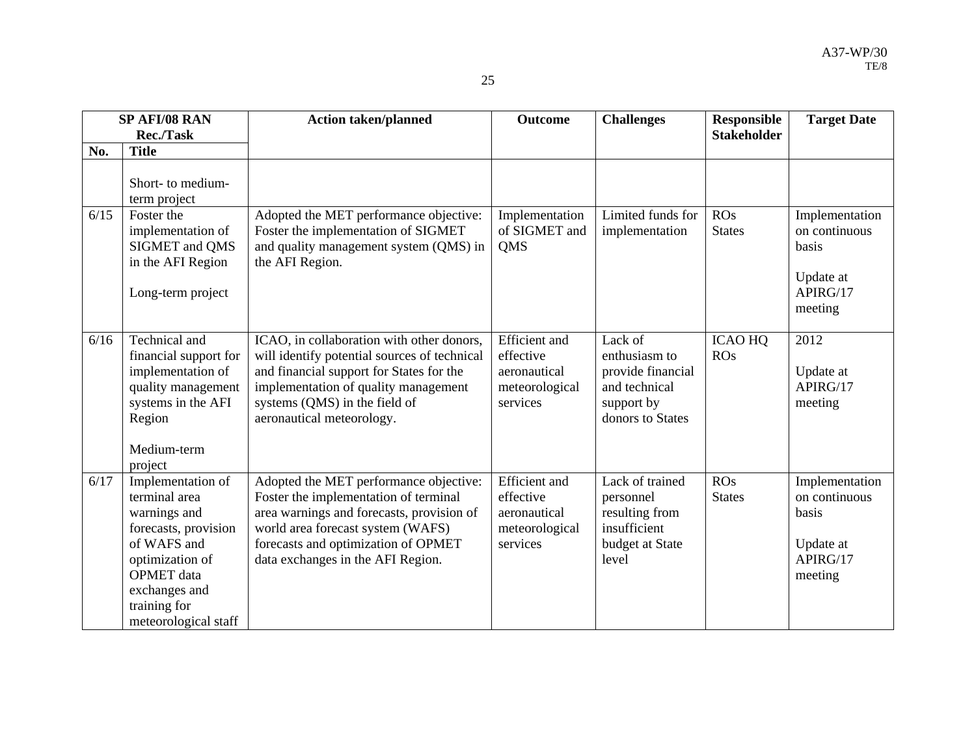|      | SP AFI/08 RAN                                                                                                                                                                              | <b>Action taken/planned</b>                                                                                                                                                                                                                   | <b>Outcome</b>                                                                  | <b>Challenges</b>                                                                                | <b>Responsible</b>           | <b>Target Date</b>                                                           |
|------|--------------------------------------------------------------------------------------------------------------------------------------------------------------------------------------------|-----------------------------------------------------------------------------------------------------------------------------------------------------------------------------------------------------------------------------------------------|---------------------------------------------------------------------------------|--------------------------------------------------------------------------------------------------|------------------------------|------------------------------------------------------------------------------|
|      | <b>Rec./Task</b>                                                                                                                                                                           |                                                                                                                                                                                                                                               |                                                                                 |                                                                                                  | <b>Stakeholder</b>           |                                                                              |
| No.  | <b>Title</b>                                                                                                                                                                               |                                                                                                                                                                                                                                               |                                                                                 |                                                                                                  |                              |                                                                              |
|      | Short- to medium-<br>term project                                                                                                                                                          |                                                                                                                                                                                                                                               |                                                                                 |                                                                                                  |                              |                                                                              |
| 6/15 | Foster the<br>implementation of<br>SIGMET and QMS<br>in the AFI Region<br>Long-term project                                                                                                | Adopted the MET performance objective:<br>Foster the implementation of SIGMET<br>and quality management system (QMS) in<br>the AFI Region.                                                                                                    | Implementation<br>of SIGMET and<br><b>QMS</b>                                   | Limited funds for<br>implementation                                                              | ROS<br><b>States</b>         | Implementation<br>on continuous<br>basis<br>Update at<br>APIRG/17<br>meeting |
| 6/16 | Technical and<br>financial support for<br>implementation of<br>quality management<br>systems in the AFI<br>Region<br>Medium-term<br>project                                                | ICAO, in collaboration with other donors,<br>will identify potential sources of technical<br>and financial support for States for the<br>implementation of quality management<br>systems (QMS) in the field of<br>aeronautical meteorology.   | <b>Efficient</b> and<br>effective<br>aeronautical<br>meteorological<br>services | Lack of<br>enthusiasm to<br>provide financial<br>and technical<br>support by<br>donors to States | <b>ICAO HQ</b><br><b>ROs</b> | 2012<br>Update at<br>APIRG/17<br>meeting                                     |
| 6/17 | Implementation of<br>terminal area<br>warnings and<br>forecasts, provision<br>of WAFS and<br>optimization of<br><b>OPMET</b> data<br>exchanges and<br>training for<br>meteorological staff | Adopted the MET performance objective:<br>Foster the implementation of terminal<br>area warnings and forecasts, provision of<br>world area forecast system (WAFS)<br>forecasts and optimization of OPMET<br>data exchanges in the AFI Region. | <b>Efficient</b> and<br>effective<br>aeronautical<br>meteorological<br>services | Lack of trained<br>personnel<br>resulting from<br>insufficient<br>budget at State<br>level       | ROS<br><b>States</b>         | Implementation<br>on continuous<br>basis<br>Update at<br>APIRG/17<br>meeting |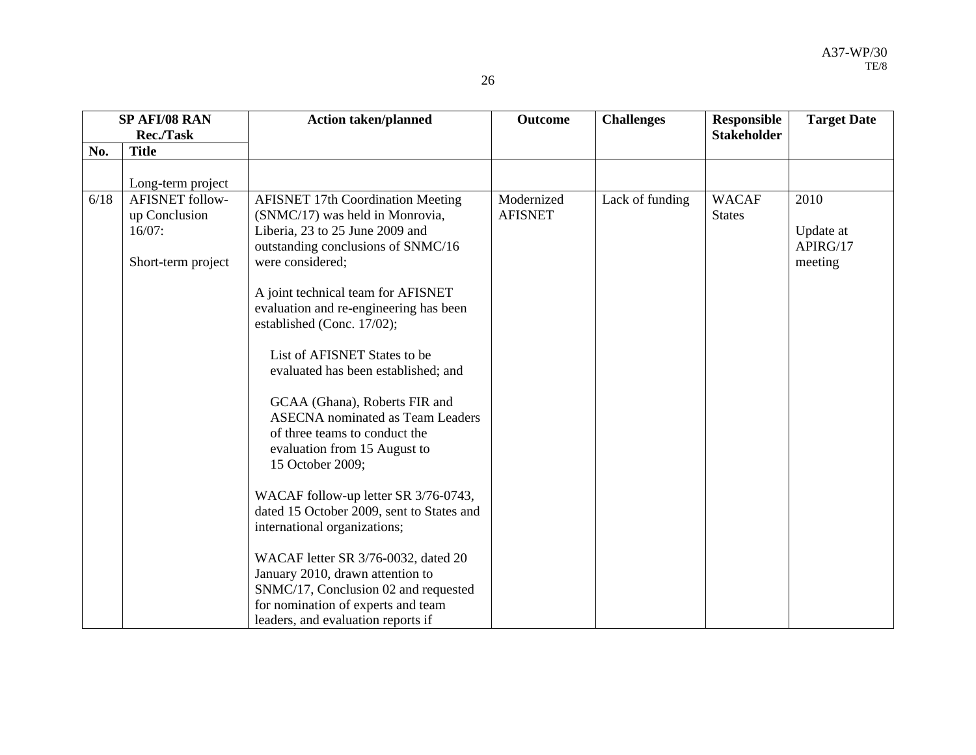|      | SP AFI/08 RAN                                                              | <b>Action taken/planned</b>                                                                                                                                                                                                                                                                                                                                                                                                                                                                                                                                                                                                                                                                                                                                            | <b>Outcome</b>               | <b>Challenges</b> | <b>Responsible</b>            | <b>Target Date</b>                       |
|------|----------------------------------------------------------------------------|------------------------------------------------------------------------------------------------------------------------------------------------------------------------------------------------------------------------------------------------------------------------------------------------------------------------------------------------------------------------------------------------------------------------------------------------------------------------------------------------------------------------------------------------------------------------------------------------------------------------------------------------------------------------------------------------------------------------------------------------------------------------|------------------------------|-------------------|-------------------------------|------------------------------------------|
|      | <b>Rec./Task</b>                                                           |                                                                                                                                                                                                                                                                                                                                                                                                                                                                                                                                                                                                                                                                                                                                                                        |                              |                   | <b>Stakeholder</b>            |                                          |
| No.  | <b>Title</b>                                                               |                                                                                                                                                                                                                                                                                                                                                                                                                                                                                                                                                                                                                                                                                                                                                                        |                              |                   |                               |                                          |
|      |                                                                            |                                                                                                                                                                                                                                                                                                                                                                                                                                                                                                                                                                                                                                                                                                                                                                        |                              |                   |                               |                                          |
|      | Long-term project                                                          |                                                                                                                                                                                                                                                                                                                                                                                                                                                                                                                                                                                                                                                                                                                                                                        |                              |                   |                               |                                          |
| 6/18 | <b>AFISNET</b> follow-<br>up Conclusion<br>$16/07$ :<br>Short-term project | <b>AFISNET 17th Coordination Meeting</b><br>(SNMC/17) was held in Monrovia,<br>Liberia, 23 to 25 June 2009 and<br>outstanding conclusions of SNMC/16<br>were considered;<br>A joint technical team for AFISNET<br>evaluation and re-engineering has been<br>established (Conc. 17/02);<br>List of AFISNET States to be<br>evaluated has been established; and<br>GCAA (Ghana), Roberts FIR and<br><b>ASECNA</b> nominated as Team Leaders<br>of three teams to conduct the<br>evaluation from 15 August to<br>15 October 2009;<br>WACAF follow-up letter SR 3/76-0743,<br>dated 15 October 2009, sent to States and<br>international organizations;<br>WACAF letter SR 3/76-0032, dated 20<br>January 2010, drawn attention to<br>SNMC/17, Conclusion 02 and requested | Modernized<br><b>AFISNET</b> | Lack of funding   | <b>WACAF</b><br><b>States</b> | 2010<br>Update at<br>APIRG/17<br>meeting |
|      |                                                                            | for nomination of experts and team<br>leaders, and evaluation reports if                                                                                                                                                                                                                                                                                                                                                                                                                                                                                                                                                                                                                                                                                               |                              |                   |                               |                                          |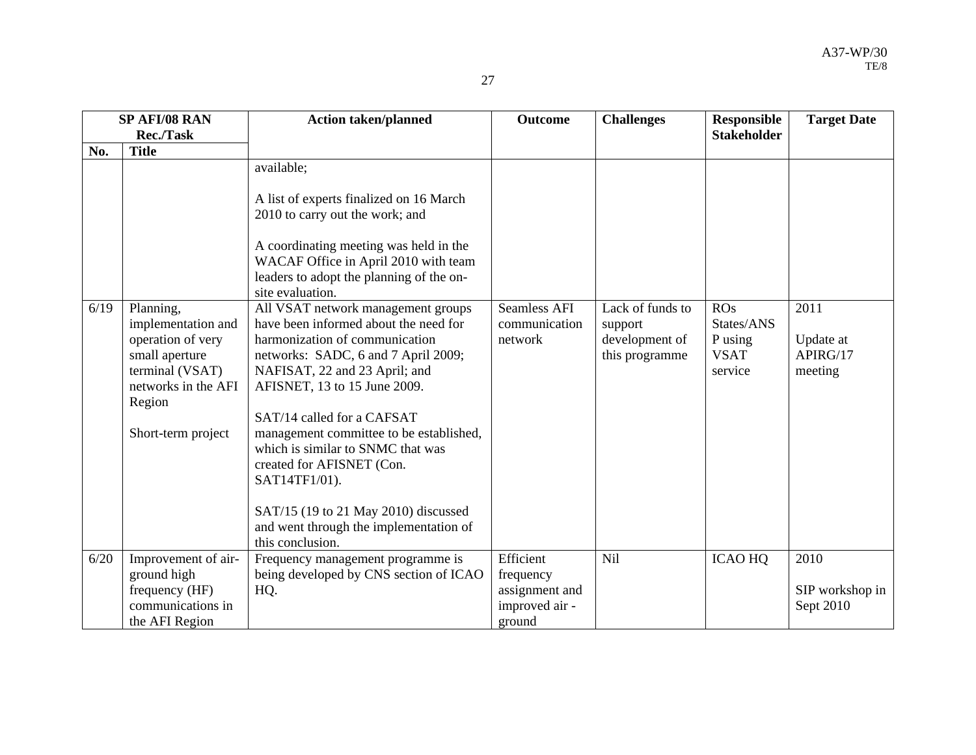|      | SP AFI/08 RAN                                                                                                                                    | <b>Action taken/planned</b>                                                                                                                                                                                                                                                                                                                                                                                                                                                             | <b>Outcome</b>                                  | <b>Challenges</b>                                               | <b>Responsible</b>                                     | <b>Target Date</b>                       |
|------|--------------------------------------------------------------------------------------------------------------------------------------------------|-----------------------------------------------------------------------------------------------------------------------------------------------------------------------------------------------------------------------------------------------------------------------------------------------------------------------------------------------------------------------------------------------------------------------------------------------------------------------------------------|-------------------------------------------------|-----------------------------------------------------------------|--------------------------------------------------------|------------------------------------------|
|      | <b>Rec./Task</b>                                                                                                                                 |                                                                                                                                                                                                                                                                                                                                                                                                                                                                                         |                                                 |                                                                 | <b>Stakeholder</b>                                     |                                          |
| No.  | <b>Title</b>                                                                                                                                     |                                                                                                                                                                                                                                                                                                                                                                                                                                                                                         |                                                 |                                                                 |                                                        |                                          |
|      |                                                                                                                                                  | available;<br>A list of experts finalized on 16 March<br>2010 to carry out the work; and<br>A coordinating meeting was held in the<br>WACAF Office in April 2010 with team<br>leaders to adopt the planning of the on-<br>site evaluation.                                                                                                                                                                                                                                              |                                                 |                                                                 |                                                        |                                          |
| 6/19 | Planning,<br>implementation and<br>operation of very<br>small aperture<br>terminal (VSAT)<br>networks in the AFI<br>Region<br>Short-term project | All VSAT network management groups<br>have been informed about the need for<br>harmonization of communication<br>networks: SADC, 6 and 7 April 2009;<br>NAFISAT, 22 and 23 April; and<br>AFISNET, 13 to 15 June 2009.<br>SAT/14 called for a CAFSAT<br>management committee to be established,<br>which is similar to SNMC that was<br>created for AFISNET (Con.<br>SAT14TF1/01).<br>SAT/15 (19 to 21 May 2010) discussed<br>and went through the implementation of<br>this conclusion. | <b>Seamless AFI</b><br>communication<br>network | Lack of funds to<br>support<br>development of<br>this programme | ROS<br>States/ANS<br>P using<br><b>VSAT</b><br>service | 2011<br>Update at<br>APIRG/17<br>meeting |
| 6/20 | Improvement of air-                                                                                                                              | Frequency management programme is                                                                                                                                                                                                                                                                                                                                                                                                                                                       | Efficient                                       | Nil                                                             | <b>ICAO HQ</b>                                         | 2010                                     |
|      | ground high                                                                                                                                      | being developed by CNS section of ICAO                                                                                                                                                                                                                                                                                                                                                                                                                                                  | frequency                                       |                                                                 |                                                        |                                          |
|      | frequency (HF)                                                                                                                                   | HQ.                                                                                                                                                                                                                                                                                                                                                                                                                                                                                     | assignment and                                  |                                                                 |                                                        | SIP workshop in                          |
|      | communications in                                                                                                                                |                                                                                                                                                                                                                                                                                                                                                                                                                                                                                         | improved air -                                  |                                                                 |                                                        | Sept 2010                                |
|      | the AFI Region                                                                                                                                   |                                                                                                                                                                                                                                                                                                                                                                                                                                                                                         | ground                                          |                                                                 |                                                        |                                          |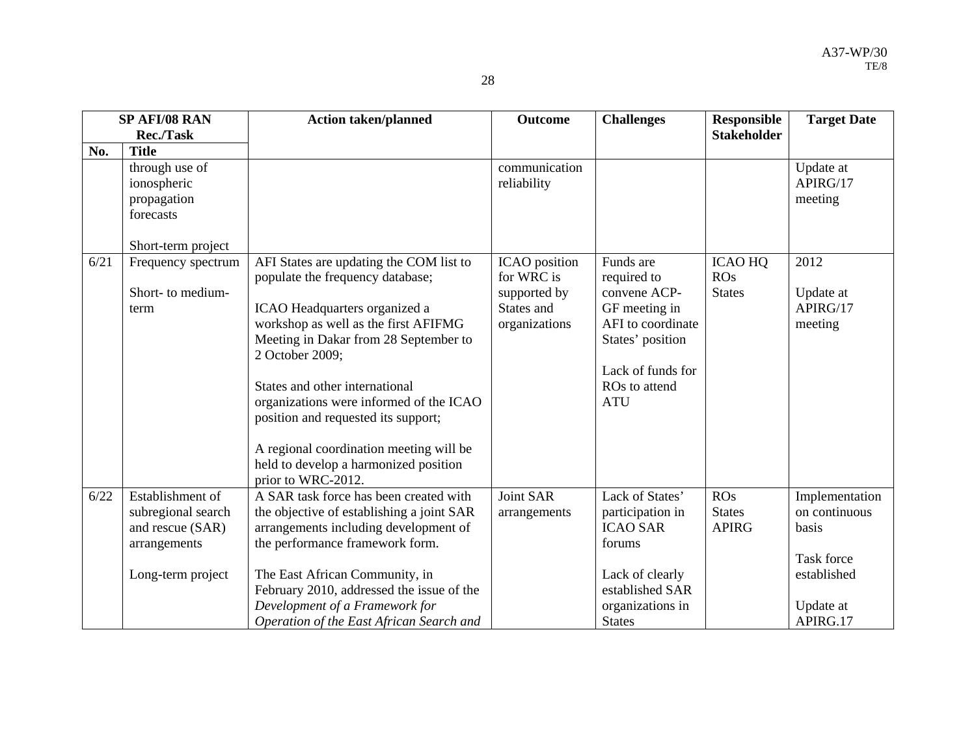|      | SP AFI/08 RAN<br><b>Rec./Task</b>                         | <b>Action taken/planned</b>                                                                                                                                                                                                                                                                                                                                                                                                                    | <b>Outcome</b>                                                             | <b>Challenges</b>                                                                                                                                      | <b>Responsible</b><br><b>Stakeholder</b> | <b>Target Date</b>                       |
|------|-----------------------------------------------------------|------------------------------------------------------------------------------------------------------------------------------------------------------------------------------------------------------------------------------------------------------------------------------------------------------------------------------------------------------------------------------------------------------------------------------------------------|----------------------------------------------------------------------------|--------------------------------------------------------------------------------------------------------------------------------------------------------|------------------------------------------|------------------------------------------|
| No.  | <b>Title</b>                                              |                                                                                                                                                                                                                                                                                                                                                                                                                                                |                                                                            |                                                                                                                                                        |                                          |                                          |
|      | through use of<br>ionospheric<br>propagation<br>forecasts |                                                                                                                                                                                                                                                                                                                                                                                                                                                | communication<br>reliability                                               |                                                                                                                                                        |                                          | Update at<br>APIRG/17<br>meeting         |
|      | Short-term project                                        |                                                                                                                                                                                                                                                                                                                                                                                                                                                |                                                                            |                                                                                                                                                        |                                          |                                          |
| 6/21 | Frequency spectrum<br>Short- to medium-<br>term           | AFI States are updating the COM list to<br>populate the frequency database;<br>ICAO Headquarters organized a<br>workshop as well as the first AFIFMG<br>Meeting in Dakar from 28 September to<br>2 October 2009;<br>States and other international<br>organizations were informed of the ICAO<br>position and requested its support;<br>A regional coordination meeting will be<br>held to develop a harmonized position<br>prior to WRC-2012. | ICAO position<br>for WRC is<br>supported by<br>States and<br>organizations | Funds are<br>required to<br>convene ACP-<br>GF meeting in<br>AFI to coordinate<br>States' position<br>Lack of funds for<br>ROs to attend<br><b>ATU</b> | <b>ICAO HQ</b><br>ROS<br><b>States</b>   | 2012<br>Update at<br>APIRG/17<br>meeting |
| 6/22 | Establishment of                                          | A SAR task force has been created with                                                                                                                                                                                                                                                                                                                                                                                                         | Joint SAR                                                                  | Lack of States'                                                                                                                                        | <b>ROs</b>                               | Implementation                           |
|      | subregional search<br>and rescue (SAR)<br>arrangements    | the objective of establishing a joint SAR<br>arrangements including development of<br>the performance framework form.                                                                                                                                                                                                                                                                                                                          | arrangements                                                               | participation in<br><b>ICAO SAR</b><br>forums                                                                                                          | <b>States</b><br><b>APIRG</b>            | on continuous<br>basis<br>Task force     |
|      | Long-term project                                         | The East African Community, in<br>February 2010, addressed the issue of the<br>Development of a Framework for<br>Operation of the East African Search and                                                                                                                                                                                                                                                                                      |                                                                            | Lack of clearly<br>established SAR<br>organizations in<br><b>States</b>                                                                                |                                          | established<br>Update at<br>APIRG.17     |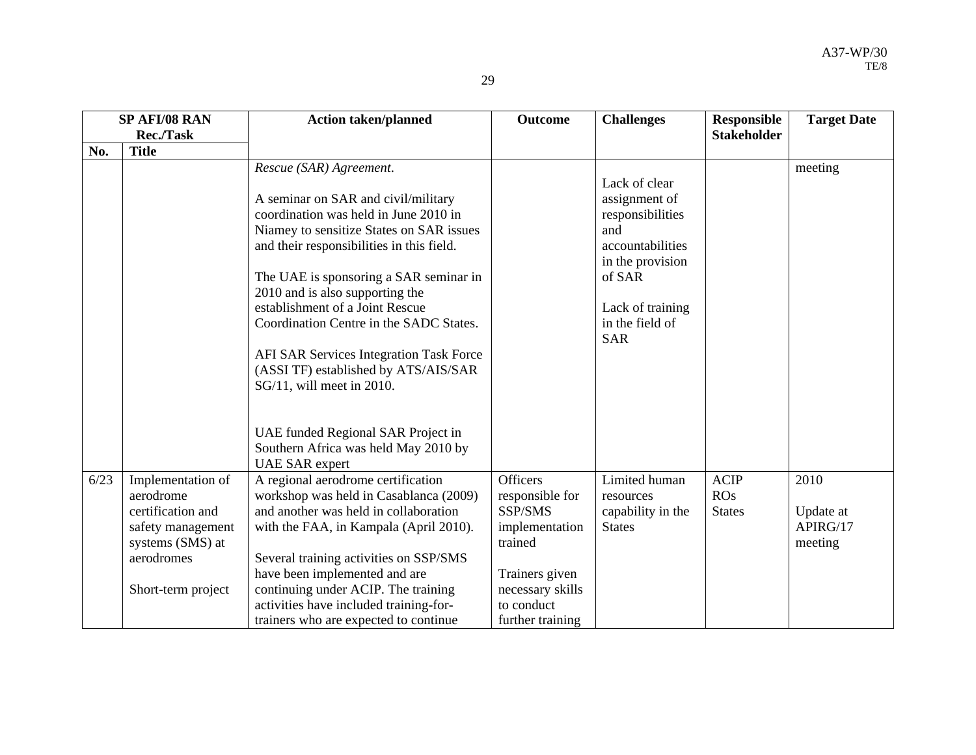| ٠ |                    |
|---|--------------------|
|   | ×<br>۰,<br>۰.<br>v |

|      | SP AFI/08 RAN                                                                                                                    | <b>Action taken/planned</b>                                                                                                                                                                                                                                                                                                                                                                                                                                                                                                                                                        | <b>Outcome</b>                                                                                                                                     | <b>Challenges</b>                                                                                                                                                | <b>Responsible</b>                  | <b>Target Date</b>                       |
|------|----------------------------------------------------------------------------------------------------------------------------------|------------------------------------------------------------------------------------------------------------------------------------------------------------------------------------------------------------------------------------------------------------------------------------------------------------------------------------------------------------------------------------------------------------------------------------------------------------------------------------------------------------------------------------------------------------------------------------|----------------------------------------------------------------------------------------------------------------------------------------------------|------------------------------------------------------------------------------------------------------------------------------------------------------------------|-------------------------------------|------------------------------------------|
|      | Rec./Task                                                                                                                        |                                                                                                                                                                                                                                                                                                                                                                                                                                                                                                                                                                                    |                                                                                                                                                    |                                                                                                                                                                  | <b>Stakeholder</b>                  |                                          |
| No.  | <b>Title</b>                                                                                                                     |                                                                                                                                                                                                                                                                                                                                                                                                                                                                                                                                                                                    |                                                                                                                                                    |                                                                                                                                                                  |                                     |                                          |
|      |                                                                                                                                  | Rescue (SAR) Agreement.<br>A seminar on SAR and civil/military<br>coordination was held in June 2010 in<br>Niamey to sensitize States on SAR issues<br>and their responsibilities in this field.<br>The UAE is sponsoring a SAR seminar in<br>2010 and is also supporting the<br>establishment of a Joint Rescue<br>Coordination Centre in the SADC States.<br>AFI SAR Services Integration Task Force<br>(ASSI TF) established by ATS/AIS/SAR<br>SG/11, will meet in 2010.<br>UAE funded Regional SAR Project in<br>Southern Africa was held May 2010 by<br><b>UAE SAR</b> expert |                                                                                                                                                    | Lack of clear<br>assignment of<br>responsibilities<br>and<br>accountabilities<br>in the provision<br>of SAR<br>Lack of training<br>in the field of<br><b>SAR</b> |                                     | meeting                                  |
| 6/23 | Implementation of<br>aerodrome<br>certification and<br>safety management<br>systems (SMS) at<br>aerodromes<br>Short-term project | A regional aerodrome certification<br>workshop was held in Casablanca (2009)<br>and another was held in collaboration<br>with the FAA, in Kampala (April 2010).<br>Several training activities on SSP/SMS<br>have been implemented and are<br>continuing under ACIP. The training<br>activities have included training-for-<br>trainers who are expected to continue                                                                                                                                                                                                               | <b>Officers</b><br>responsible for<br>SSP/SMS<br>implementation<br>trained<br>Trainers given<br>necessary skills<br>to conduct<br>further training | Limited human<br>resources<br>capability in the<br><b>States</b>                                                                                                 | <b>ACIP</b><br>ROS<br><b>States</b> | 2010<br>Update at<br>APIRG/17<br>meeting |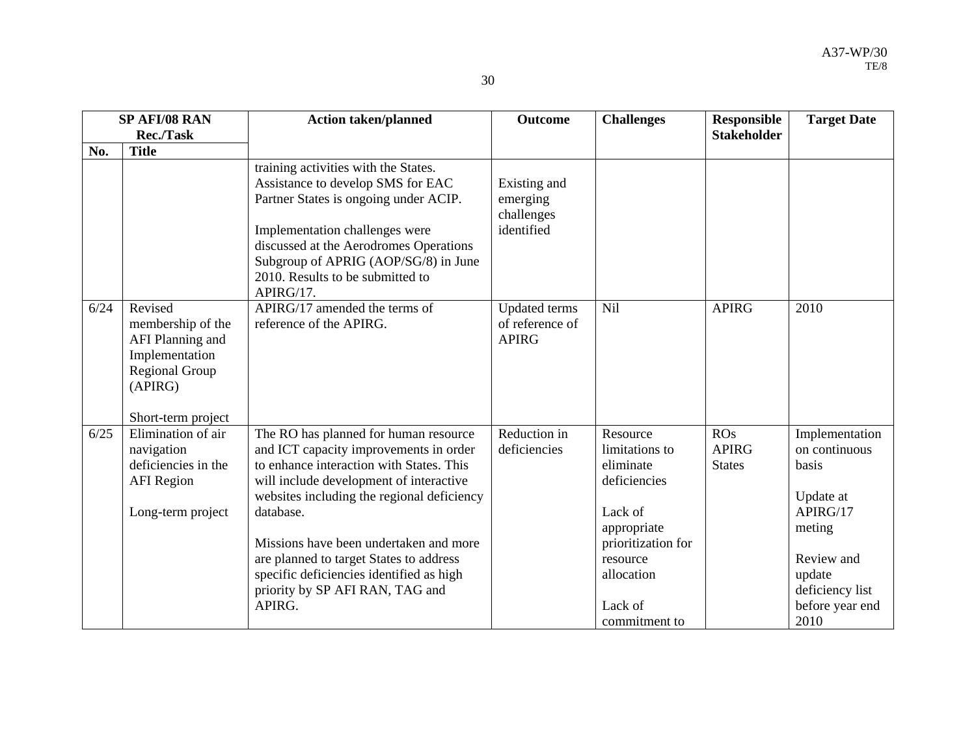|      | <b>SP AFI/08 RAN</b><br><b>Rec./Task</b>                                                                                     | <b>Action taken/planned</b>                                                                                                                                                                                                                                                                                                                                                                                     | <b>Outcome</b>                                          | <b>Challenges</b>                                                                                                                                             | <b>Responsible</b><br><b>Stakeholder</b> | <b>Target Date</b>                                                                                                                                |
|------|------------------------------------------------------------------------------------------------------------------------------|-----------------------------------------------------------------------------------------------------------------------------------------------------------------------------------------------------------------------------------------------------------------------------------------------------------------------------------------------------------------------------------------------------------------|---------------------------------------------------------|---------------------------------------------------------------------------------------------------------------------------------------------------------------|------------------------------------------|---------------------------------------------------------------------------------------------------------------------------------------------------|
| No.  | <b>Title</b>                                                                                                                 |                                                                                                                                                                                                                                                                                                                                                                                                                 |                                                         |                                                                                                                                                               |                                          |                                                                                                                                                   |
|      |                                                                                                                              | training activities with the States.<br>Assistance to develop SMS for EAC<br>Partner States is ongoing under ACIP.<br>Implementation challenges were<br>discussed at the Aerodromes Operations<br>Subgroup of APRIG (AOP/SG/8) in June<br>2010. Results to be submitted to<br>APIRG/17.                                                                                                                         | Existing and<br>emerging<br>challenges<br>identified    |                                                                                                                                                               |                                          |                                                                                                                                                   |
| 6/24 | Revised<br>membership of the<br>AFI Planning and<br>Implementation<br><b>Regional Group</b><br>(APIRG)<br>Short-term project | APIRG/17 amended the terms of<br>reference of the APIRG.                                                                                                                                                                                                                                                                                                                                                        | <b>Updated</b> terms<br>of reference of<br><b>APIRG</b> | Nil                                                                                                                                                           | <b>APIRG</b>                             | 2010                                                                                                                                              |
| 6/25 | Elimination of air<br>navigation<br>deficiencies in the<br><b>AFI</b> Region<br>Long-term project                            | The RO has planned for human resource<br>and ICT capacity improvements in order<br>to enhance interaction with States. This<br>will include development of interactive<br>websites including the regional deficiency<br>database.<br>Missions have been undertaken and more<br>are planned to target States to address<br>specific deficiencies identified as high<br>priority by SP AFI RAN, TAG and<br>APIRG. | Reduction in<br>deficiencies                            | Resource<br>limitations to<br>eliminate<br>deficiencies<br>Lack of<br>appropriate<br>prioritization for<br>resource<br>allocation<br>Lack of<br>commitment to | ROS<br><b>APIRG</b><br><b>States</b>     | Implementation<br>on continuous<br>basis<br>Update at<br>APIRG/17<br>meting<br>Review and<br>update<br>deficiency list<br>before year end<br>2010 |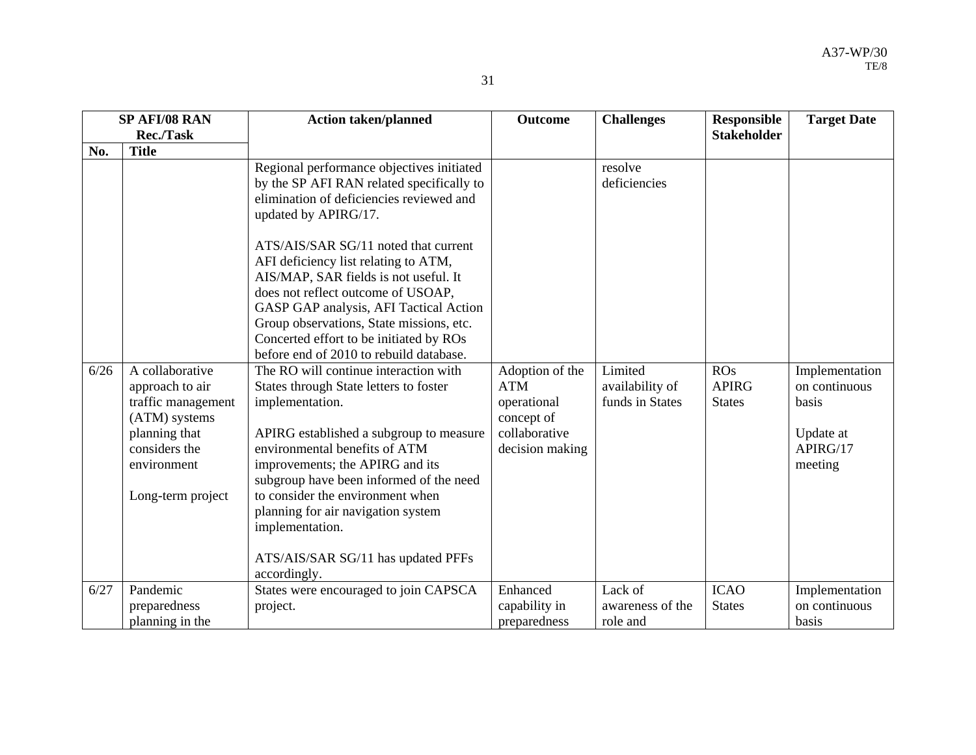| ۰.               |  |
|------------------|--|
| I<br>I<br>٠<br>× |  |

| <b>SP AFI/08 RAN</b> |                                                                                                                                                 | <b>Action taken/planned</b>                                                                                                                                                                                                                                                                                                                                                                                                                                                                                                                                                                                                                                                                                                                                                                                                                                                                              | <b>Outcome</b>                                                                                 | <b>Challenges</b>                                                        | <b>Responsible</b>                   | <b>Target Date</b>                                                           |
|----------------------|-------------------------------------------------------------------------------------------------------------------------------------------------|----------------------------------------------------------------------------------------------------------------------------------------------------------------------------------------------------------------------------------------------------------------------------------------------------------------------------------------------------------------------------------------------------------------------------------------------------------------------------------------------------------------------------------------------------------------------------------------------------------------------------------------------------------------------------------------------------------------------------------------------------------------------------------------------------------------------------------------------------------------------------------------------------------|------------------------------------------------------------------------------------------------|--------------------------------------------------------------------------|--------------------------------------|------------------------------------------------------------------------------|
| Rec./Task            |                                                                                                                                                 |                                                                                                                                                                                                                                                                                                                                                                                                                                                                                                                                                                                                                                                                                                                                                                                                                                                                                                          |                                                                                                |                                                                          | <b>Stakeholder</b>                   |                                                                              |
| No.                  | <b>Title</b>                                                                                                                                    |                                                                                                                                                                                                                                                                                                                                                                                                                                                                                                                                                                                                                                                                                                                                                                                                                                                                                                          |                                                                                                |                                                                          |                                      |                                                                              |
| 6/26                 | A collaborative<br>approach to air<br>traffic management<br>(ATM) systems<br>planning that<br>considers the<br>environment<br>Long-term project | Regional performance objectives initiated<br>by the SP AFI RAN related specifically to<br>elimination of deficiencies reviewed and<br>updated by APIRG/17.<br>ATS/AIS/SAR SG/11 noted that current<br>AFI deficiency list relating to ATM,<br>AIS/MAP, SAR fields is not useful. It<br>does not reflect outcome of USOAP,<br>GASP GAP analysis, AFI Tactical Action<br>Group observations, State missions, etc.<br>Concerted effort to be initiated by ROs<br>before end of 2010 to rebuild database.<br>The RO will continue interaction with<br>States through State letters to foster<br>implementation.<br>APIRG established a subgroup to measure<br>environmental benefits of ATM<br>improvements; the APIRG and its<br>subgroup have been informed of the need<br>to consider the environment when<br>planning for air navigation system<br>implementation.<br>ATS/AIS/SAR SG/11 has updated PFFs | Adoption of the<br><b>ATM</b><br>operational<br>concept of<br>collaborative<br>decision making | resolve<br>deficiencies<br>Limited<br>availability of<br>funds in States | ROS<br><b>APIRG</b><br><b>States</b> | Implementation<br>on continuous<br>basis<br>Update at<br>APIRG/17<br>meeting |
|                      |                                                                                                                                                 | accordingly.                                                                                                                                                                                                                                                                                                                                                                                                                                                                                                                                                                                                                                                                                                                                                                                                                                                                                             |                                                                                                |                                                                          |                                      |                                                                              |
| 6/27                 | Pandemic                                                                                                                                        | States were encouraged to join CAPSCA                                                                                                                                                                                                                                                                                                                                                                                                                                                                                                                                                                                                                                                                                                                                                                                                                                                                    | Enhanced                                                                                       | Lack of                                                                  | <b>ICAO</b>                          | Implementation                                                               |
|                      | preparedness                                                                                                                                    | project.                                                                                                                                                                                                                                                                                                                                                                                                                                                                                                                                                                                                                                                                                                                                                                                                                                                                                                 | capability in                                                                                  | awareness of the                                                         | <b>States</b>                        | on continuous                                                                |
|                      | planning in the                                                                                                                                 |                                                                                                                                                                                                                                                                                                                                                                                                                                                                                                                                                                                                                                                                                                                                                                                                                                                                                                          | preparedness                                                                                   | role and                                                                 |                                      | basis                                                                        |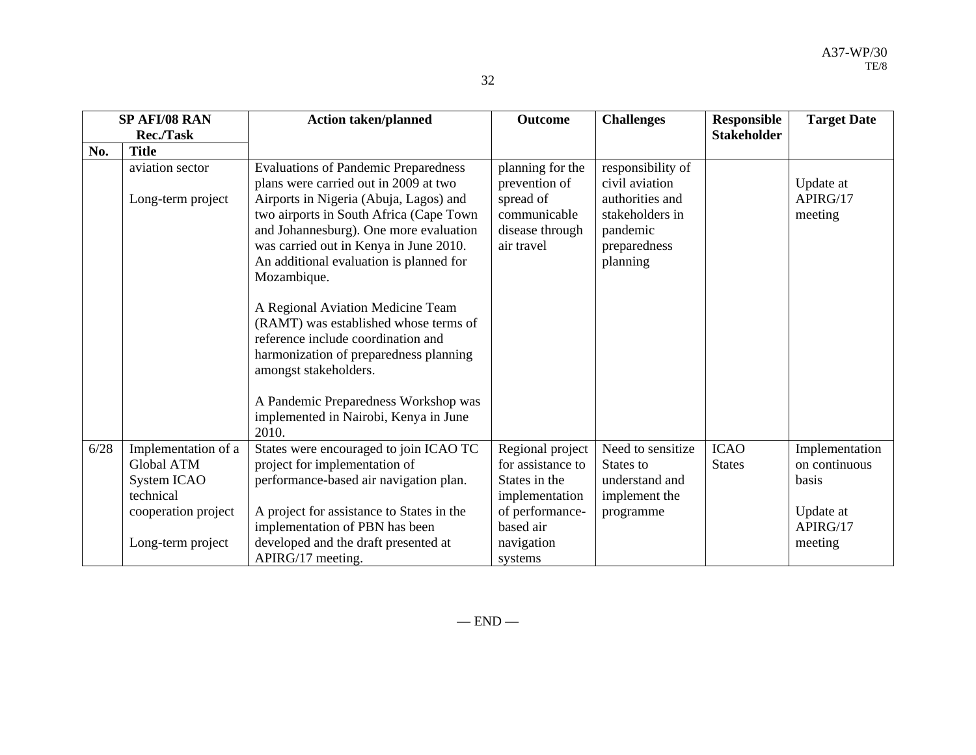|             | × |
|-------------|---|
| I<br>٠<br>× |   |

|      | SP AFI/08 RAN                                                                                             | <b>Action taken/planned</b>                                                                                                                                                                                                                                                                                             | <b>Outcome</b>                                                                                                         | <b>Challenges</b>                                                                                                 | <b>Responsible</b>           | <b>Target Date</b>                                                           |
|------|-----------------------------------------------------------------------------------------------------------|-------------------------------------------------------------------------------------------------------------------------------------------------------------------------------------------------------------------------------------------------------------------------------------------------------------------------|------------------------------------------------------------------------------------------------------------------------|-------------------------------------------------------------------------------------------------------------------|------------------------------|------------------------------------------------------------------------------|
|      | <b>Rec./Task</b>                                                                                          |                                                                                                                                                                                                                                                                                                                         |                                                                                                                        |                                                                                                                   | <b>Stakeholder</b>           |                                                                              |
| No.  | <b>Title</b>                                                                                              |                                                                                                                                                                                                                                                                                                                         |                                                                                                                        |                                                                                                                   |                              |                                                                              |
|      | aviation sector<br>Long-term project                                                                      | <b>Evaluations of Pandemic Preparedness</b><br>plans were carried out in 2009 at two<br>Airports in Nigeria (Abuja, Lagos) and<br>two airports in South Africa (Cape Town<br>and Johannesburg). One more evaluation<br>was carried out in Kenya in June 2010.<br>An additional evaluation is planned for<br>Mozambique. | planning for the<br>prevention of<br>spread of<br>communicable<br>disease through<br>air travel                        | responsibility of<br>civil aviation<br>authorities and<br>stakeholders in<br>pandemic<br>preparedness<br>planning |                              | Update at<br>APIRG/17<br>meeting                                             |
|      |                                                                                                           | A Regional Aviation Medicine Team<br>(RAMT) was established whose terms of<br>reference include coordination and<br>harmonization of preparedness planning<br>amongst stakeholders.<br>A Pandemic Preparedness Workshop was<br>implemented in Nairobi, Kenya in June<br>2010.                                           |                                                                                                                        |                                                                                                                   |                              |                                                                              |
| 6/28 | Implementation of a<br>Global ATM<br>System ICAO<br>technical<br>cooperation project<br>Long-term project | States were encouraged to join ICAO TC<br>project for implementation of<br>performance-based air navigation plan.<br>A project for assistance to States in the<br>implementation of PBN has been<br>developed and the draft presented at                                                                                | Regional project<br>for assistance to<br>States in the<br>implementation<br>of performance-<br>based air<br>navigation | Need to sensitize<br>States to<br>understand and<br>implement the<br>programme                                    | <b>ICAO</b><br><b>States</b> | Implementation<br>on continuous<br>basis<br>Update at<br>APIRG/17<br>meeting |
|      |                                                                                                           | APIRG/17 meeting.                                                                                                                                                                                                                                                                                                       | systems                                                                                                                |                                                                                                                   |                              |                                                                              |